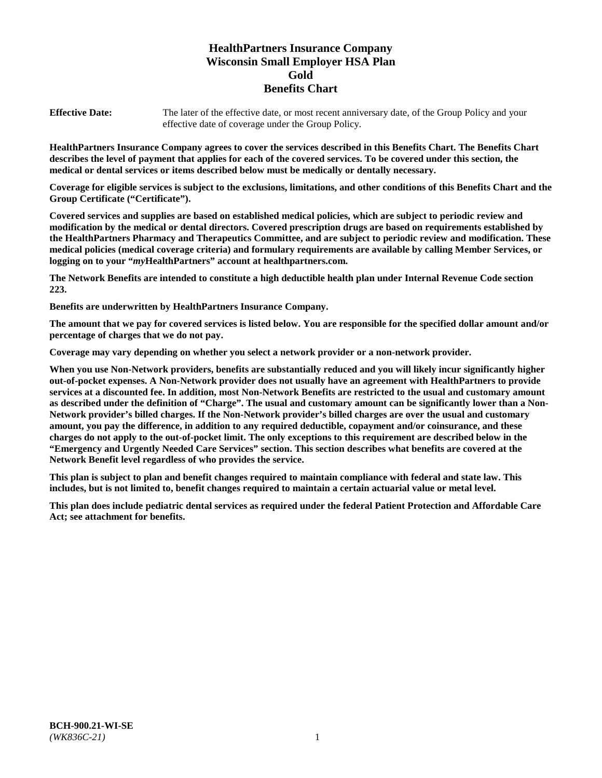# **HealthPartners Insurance Company Wisconsin Small Employer HSA Plan Gold Benefits Chart**

**Effective Date:** The later of the effective date, or most recent anniversary date, of the Group Policy and your effective date of coverage under the Group Policy.

**HealthPartners Insurance Company agrees to cover the services described in this Benefits Chart. The Benefits Chart describes the level of payment that applies for each of the covered services. To be covered under this section, the medical or dental services or items described below must be medically or dentally necessary.**

**Coverage for eligible services is subject to the exclusions, limitations, and other conditions of this Benefits Chart and the Group Certificate ("Certificate").**

**Covered services and supplies are based on established medical policies, which are subject to periodic review and modification by the medical or dental directors. Covered prescription drugs are based on requirements established by the HealthPartners Pharmacy and Therapeutics Committee, and are subject to periodic review and modification. These medical policies (medical coverage criteria) and formulary requirements are available by calling Member Services, or logging on to your "***my***HealthPartners" account at [healthpartners.com.](https://www.healthpartners.com/hp/index.html)**

**The Network Benefits are intended to constitute a high deductible health plan under Internal Revenue Code section 223.**

**Benefits are underwritten by HealthPartners Insurance Company.**

**The amount that we pay for covered services is listed below. You are responsible for the specified dollar amount and/or percentage of charges that we do not pay.**

**Coverage may vary depending on whether you select a network provider or a non-network provider.**

**When you use Non-Network providers, benefits are substantially reduced and you will likely incur significantly higher out-of-pocket expenses. A Non-Network provider does not usually have an agreement with HealthPartners to provide services at a discounted fee. In addition, most Non-Network Benefits are restricted to the usual and customary amount as described under the definition of "Charge". The usual and customary amount can be significantly lower than a Non-Network provider's billed charges. If the Non-Network provider's billed charges are over the usual and customary amount, you pay the difference, in addition to any required deductible, copayment and/or coinsurance, and these charges do not apply to the out-of-pocket limit. The only exceptions to this requirement are described below in the "Emergency and Urgently Needed Care Services" section. This section describes what benefits are covered at the Network Benefit level regardless of who provides the service.**

**This plan is subject to plan and benefit changes required to maintain compliance with federal and state law. This includes, but is not limited to, benefit changes required to maintain a certain actuarial value or metal level.**

**This plan does include pediatric dental services as required under the federal Patient Protection and Affordable Care Act; see attachment for benefits.**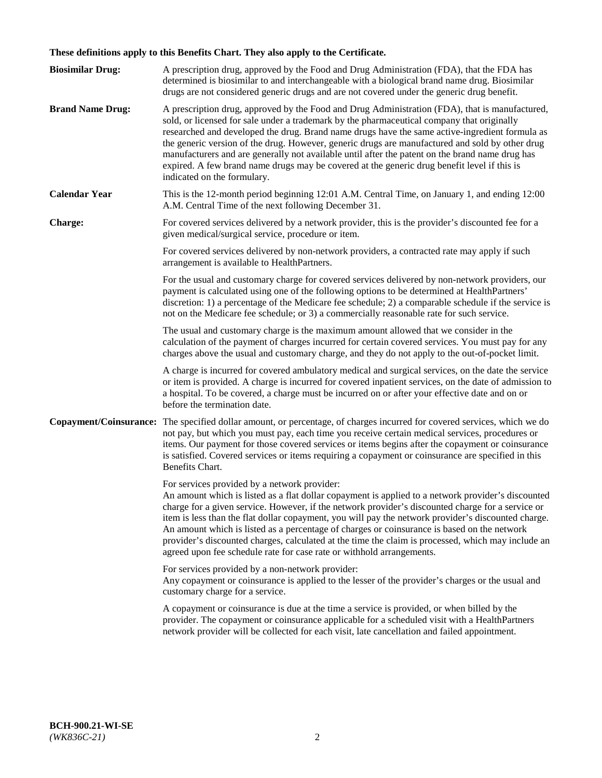# **These definitions apply to this Benefits Chart. They also apply to the Certificate.**

| <b>Biosimilar Drug:</b> | A prescription drug, approved by the Food and Drug Administration (FDA), that the FDA has<br>determined is biosimilar to and interchangeable with a biological brand name drug. Biosimilar<br>drugs are not considered generic drugs and are not covered under the generic drug benefit.                                                                                                                                                                                                                                                                                                                                                     |
|-------------------------|----------------------------------------------------------------------------------------------------------------------------------------------------------------------------------------------------------------------------------------------------------------------------------------------------------------------------------------------------------------------------------------------------------------------------------------------------------------------------------------------------------------------------------------------------------------------------------------------------------------------------------------------|
| <b>Brand Name Drug:</b> | A prescription drug, approved by the Food and Drug Administration (FDA), that is manufactured,<br>sold, or licensed for sale under a trademark by the pharmaceutical company that originally<br>researched and developed the drug. Brand name drugs have the same active-ingredient formula as<br>the generic version of the drug. However, generic drugs are manufactured and sold by other drug<br>manufacturers and are generally not available until after the patent on the brand name drug has<br>expired. A few brand name drugs may be covered at the generic drug benefit level if this is<br>indicated on the formulary.           |
| <b>Calendar Year</b>    | This is the 12-month period beginning 12:01 A.M. Central Time, on January 1, and ending 12:00<br>A.M. Central Time of the next following December 31.                                                                                                                                                                                                                                                                                                                                                                                                                                                                                        |
| <b>Charge:</b>          | For covered services delivered by a network provider, this is the provider's discounted fee for a<br>given medical/surgical service, procedure or item.                                                                                                                                                                                                                                                                                                                                                                                                                                                                                      |
|                         | For covered services delivered by non-network providers, a contracted rate may apply if such<br>arrangement is available to HealthPartners.                                                                                                                                                                                                                                                                                                                                                                                                                                                                                                  |
|                         | For the usual and customary charge for covered services delivered by non-network providers, our<br>payment is calculated using one of the following options to be determined at HealthPartners'<br>discretion: 1) a percentage of the Medicare fee schedule; 2) a comparable schedule if the service is<br>not on the Medicare fee schedule; or 3) a commercially reasonable rate for such service.                                                                                                                                                                                                                                          |
|                         | The usual and customary charge is the maximum amount allowed that we consider in the<br>calculation of the payment of charges incurred for certain covered services. You must pay for any<br>charges above the usual and customary charge, and they do not apply to the out-of-pocket limit.                                                                                                                                                                                                                                                                                                                                                 |
|                         | A charge is incurred for covered ambulatory medical and surgical services, on the date the service<br>or item is provided. A charge is incurred for covered inpatient services, on the date of admission to<br>a hospital. To be covered, a charge must be incurred on or after your effective date and on or<br>before the termination date.                                                                                                                                                                                                                                                                                                |
| Copayment/Coinsurance:  | The specified dollar amount, or percentage, of charges incurred for covered services, which we do<br>not pay, but which you must pay, each time you receive certain medical services, procedures or<br>items. Our payment for those covered services or items begins after the copayment or coinsurance<br>is satisfied. Covered services or items requiring a copayment or coinsurance are specified in this<br>Benefits Chart.                                                                                                                                                                                                             |
|                         | For services provided by a network provider:<br>An amount which is listed as a flat dollar copayment is applied to a network provider's discounted<br>charge for a given service. However, if the network provider's discounted charge for a service or<br>item is less than the flat dollar copayment, you will pay the network provider's discounted charge.<br>An amount which is listed as a percentage of charges or coinsurance is based on the network<br>provider's discounted charges, calculated at the time the claim is processed, which may include an<br>agreed upon fee schedule rate for case rate or withhold arrangements. |
|                         | For services provided by a non-network provider:<br>Any copayment or coinsurance is applied to the lesser of the provider's charges or the usual and<br>customary charge for a service.                                                                                                                                                                                                                                                                                                                                                                                                                                                      |
|                         | A copayment or coinsurance is due at the time a service is provided, or when billed by the<br>provider. The copayment or coinsurance applicable for a scheduled visit with a HealthPartners<br>network provider will be collected for each visit, late cancellation and failed appointment.                                                                                                                                                                                                                                                                                                                                                  |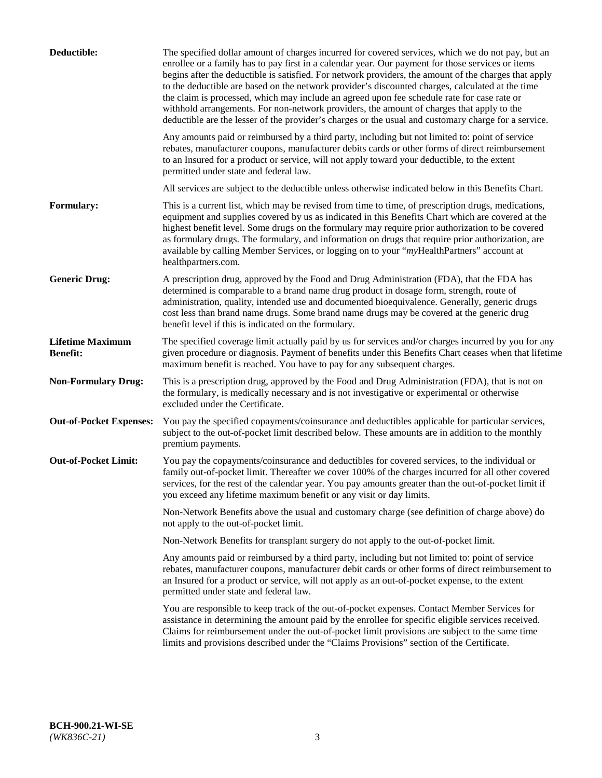| Deductible:                                | The specified dollar amount of charges incurred for covered services, which we do not pay, but an<br>enrollee or a family has to pay first in a calendar year. Our payment for those services or items<br>begins after the deductible is satisfied. For network providers, the amount of the charges that apply<br>to the deductible are based on the network provider's discounted charges, calculated at the time<br>the claim is processed, which may include an agreed upon fee schedule rate for case rate or<br>withhold arrangements. For non-network providers, the amount of charges that apply to the<br>deductible are the lesser of the provider's charges or the usual and customary charge for a service. |
|--------------------------------------------|-------------------------------------------------------------------------------------------------------------------------------------------------------------------------------------------------------------------------------------------------------------------------------------------------------------------------------------------------------------------------------------------------------------------------------------------------------------------------------------------------------------------------------------------------------------------------------------------------------------------------------------------------------------------------------------------------------------------------|
|                                            | Any amounts paid or reimbursed by a third party, including but not limited to: point of service<br>rebates, manufacturer coupons, manufacturer debits cards or other forms of direct reimbursement<br>to an Insured for a product or service, will not apply toward your deductible, to the extent<br>permitted under state and federal law.                                                                                                                                                                                                                                                                                                                                                                            |
|                                            | All services are subject to the deductible unless otherwise indicated below in this Benefits Chart.                                                                                                                                                                                                                                                                                                                                                                                                                                                                                                                                                                                                                     |
| <b>Formulary:</b>                          | This is a current list, which may be revised from time to time, of prescription drugs, medications,<br>equipment and supplies covered by us as indicated in this Benefits Chart which are covered at the<br>highest benefit level. Some drugs on the formulary may require prior authorization to be covered<br>as formulary drugs. The formulary, and information on drugs that require prior authorization, are<br>available by calling Member Services, or logging on to your "myHealthPartners" account at<br>healthpartners.com.                                                                                                                                                                                   |
| <b>Generic Drug:</b>                       | A prescription drug, approved by the Food and Drug Administration (FDA), that the FDA has<br>determined is comparable to a brand name drug product in dosage form, strength, route of<br>administration, quality, intended use and documented bioequivalence. Generally, generic drugs<br>cost less than brand name drugs. Some brand name drugs may be covered at the generic drug<br>benefit level if this is indicated on the formulary.                                                                                                                                                                                                                                                                             |
| <b>Lifetime Maximum</b><br><b>Benefit:</b> | The specified coverage limit actually paid by us for services and/or charges incurred by you for any<br>given procedure or diagnosis. Payment of benefits under this Benefits Chart ceases when that lifetime<br>maximum benefit is reached. You have to pay for any subsequent charges.                                                                                                                                                                                                                                                                                                                                                                                                                                |
| <b>Non-Formulary Drug:</b>                 | This is a prescription drug, approved by the Food and Drug Administration (FDA), that is not on<br>the formulary, is medically necessary and is not investigative or experimental or otherwise<br>excluded under the Certificate.                                                                                                                                                                                                                                                                                                                                                                                                                                                                                       |
| <b>Out-of-Pocket Expenses:</b>             | You pay the specified copayments/coinsurance and deductibles applicable for particular services,<br>subject to the out-of-pocket limit described below. These amounts are in addition to the monthly<br>premium payments.                                                                                                                                                                                                                                                                                                                                                                                                                                                                                               |
| <b>Out-of-Pocket Limit:</b>                | You pay the copayments/coinsurance and deductibles for covered services, to the individual or<br>family out-of-pocket limit. Thereafter we cover 100% of the charges incurred for all other covered<br>services, for the rest of the calendar year. You pay amounts greater than the out-of-pocket limit if<br>you exceed any lifetime maximum benefit or any visit or day limits.                                                                                                                                                                                                                                                                                                                                      |
|                                            | Non-Network Benefits above the usual and customary charge (see definition of charge above) do<br>not apply to the out-of-pocket limit.                                                                                                                                                                                                                                                                                                                                                                                                                                                                                                                                                                                  |
|                                            | Non-Network Benefits for transplant surgery do not apply to the out-of-pocket limit.                                                                                                                                                                                                                                                                                                                                                                                                                                                                                                                                                                                                                                    |
|                                            | Any amounts paid or reimbursed by a third party, including but not limited to: point of service<br>rebates, manufacturer coupons, manufacturer debit cards or other forms of direct reimbursement to<br>an Insured for a product or service, will not apply as an out-of-pocket expense, to the extent<br>permitted under state and federal law.                                                                                                                                                                                                                                                                                                                                                                        |
|                                            | You are responsible to keep track of the out-of-pocket expenses. Contact Member Services for<br>assistance in determining the amount paid by the enrollee for specific eligible services received.<br>Claims for reimbursement under the out-of-pocket limit provisions are subject to the same time<br>limits and provisions described under the "Claims Provisions" section of the Certificate.                                                                                                                                                                                                                                                                                                                       |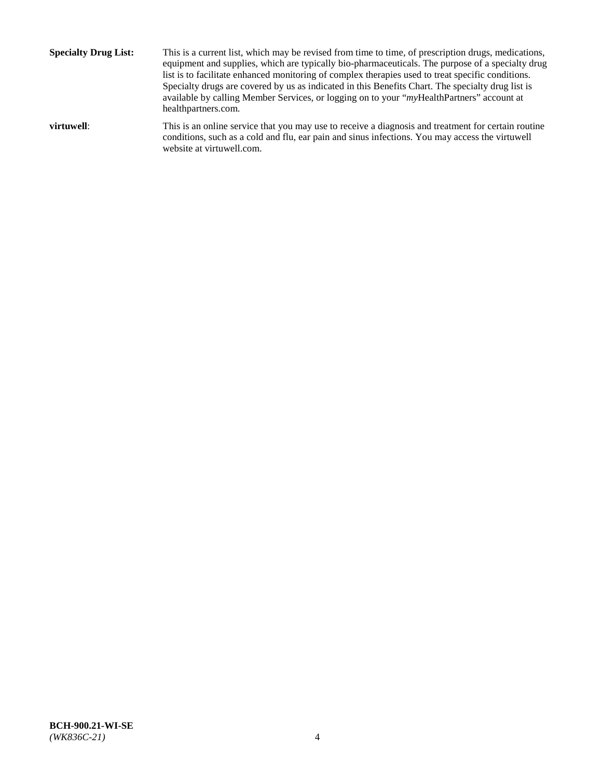**Specialty Drug List:** This is a current list, which may be revised from time to time, of prescription drugs, medications, equipment and supplies, which are typically bio-pharmaceuticals. The purpose of a specialty drug list is to facilitate enhanced monitoring of complex therapies used to treat specific conditions. Specialty drugs are covered by us as indicated in this Benefits Chart. The specialty drug list is available by calling Member Services, or logging on to your "*my*HealthPartners" account at [healthpartners.com.](http://www.healthpartners.com/) **virtuwell:** This is an online service that you may use to receive a diagnosis and treatment for certain routine

website at [virtuwell.com.](http://www.virtuwell.com/)

conditions, such as a cold and flu, ear pain and sinus infections. You may access the virtuwell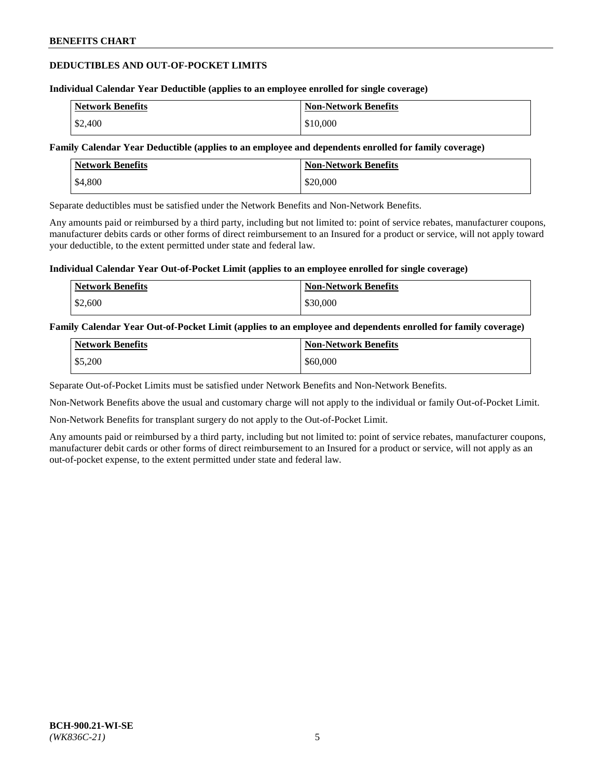## **DEDUCTIBLES AND OUT-OF-POCKET LIMITS**

#### **Individual Calendar Year Deductible (applies to an employee enrolled for single coverage)**

| <b>Network Benefits</b> | <b>Non-Network Benefits</b> |
|-------------------------|-----------------------------|
| \$2,400                 | \$10,000                    |

### **Family Calendar Year Deductible (applies to an employee and dependents enrolled for family coverage)**

| <b>Network Benefits</b> | <b>Non-Network Benefits</b> |
|-------------------------|-----------------------------|
| \$4,800                 | \$20,000                    |

Separate deductibles must be satisfied under the Network Benefits and Non-Network Benefits.

Any amounts paid or reimbursed by a third party, including but not limited to: point of service rebates, manufacturer coupons, manufacturer debits cards or other forms of direct reimbursement to an Insured for a product or service, will not apply toward your deductible, to the extent permitted under state and federal law.

#### **Individual Calendar Year Out-of-Pocket Limit (applies to an employee enrolled for single coverage)**

| <b>Network Benefits</b> | <b>Non-Network Benefits</b> |
|-------------------------|-----------------------------|
| \$2,600                 | \$30,000                    |

#### **Family Calendar Year Out-of-Pocket Limit (applies to an employee and dependents enrolled for family coverage)**

| <b>Network Benefits</b> | <b>Non-Network Benefits</b> |
|-------------------------|-----------------------------|
| \$5,200                 | \$60,000                    |

Separate Out-of-Pocket Limits must be satisfied under Network Benefits and Non-Network Benefits.

Non-Network Benefits above the usual and customary charge will not apply to the individual or family Out-of-Pocket Limit.

Non-Network Benefits for transplant surgery do not apply to the Out-of-Pocket Limit.

Any amounts paid or reimbursed by a third party, including but not limited to: point of service rebates, manufacturer coupons, manufacturer debit cards or other forms of direct reimbursement to an Insured for a product or service, will not apply as an out-of-pocket expense, to the extent permitted under state and federal law.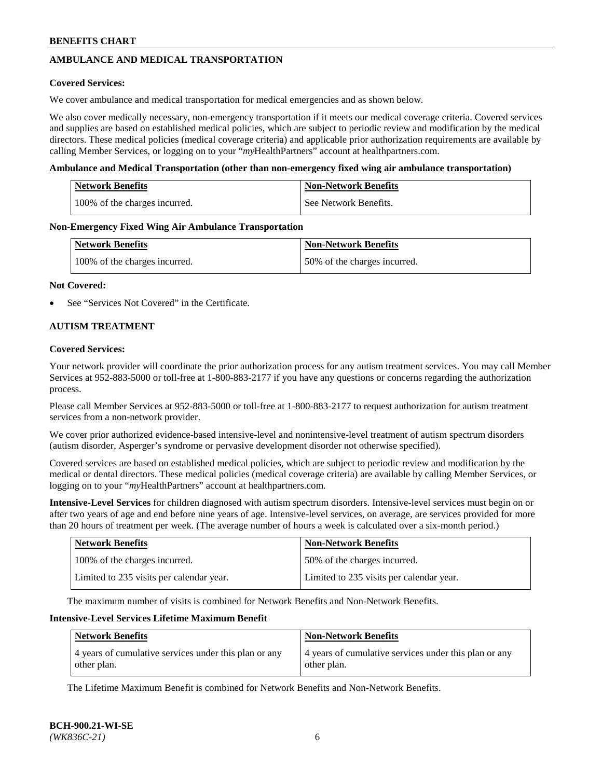## **AMBULANCE AND MEDICAL TRANSPORTATION**

### **Covered Services:**

We cover ambulance and medical transportation for medical emergencies and as shown below.

We also cover medically necessary, non-emergency transportation if it meets our medical coverage criteria. Covered services and supplies are based on established medical policies, which are subject to periodic review and modification by the medical directors. These medical policies (medical coverage criteria) and applicable prior authorization requirements are available by calling Member Services, or logging on to your "*my*HealthPartners" account a[t healthpartners.com.](https://www.healthpartners.com/hp/index.html)

#### **Ambulance and Medical Transportation (other than non-emergency fixed wing air ambulance transportation)**

| <b>Network Benefits</b>       | <b>Non-Network Benefits</b> |
|-------------------------------|-----------------------------|
| 100% of the charges incurred. | See Network Benefits.       |

#### **Non-Emergency Fixed Wing Air Ambulance Transportation**

| <b>Network Benefits</b>       | <b>Non-Network Benefits</b>  |
|-------------------------------|------------------------------|
| 100% of the charges incurred. | 50% of the charges incurred. |

#### **Not Covered:**

See "Services Not Covered" in the Certificate.

## **AUTISM TREATMENT**

#### **Covered Services:**

Your network provider will coordinate the prior authorization process for any autism treatment services. You may call Member Services at 952-883-5000 or toll-free at 1-800-883-2177 if you have any questions or concerns regarding the authorization process.

Please call Member Services at 952-883-5000 or toll-free at 1-800-883-2177 to request authorization for autism treatment services from a non-network provider.

We cover prior authorized evidence-based intensive-level and nonintensive-level treatment of autism spectrum disorders (autism disorder, Asperger's syndrome or pervasive development disorder not otherwise specified).

Covered services are based on established medical policies, which are subject to periodic review and modification by the medical or dental directors. These medical policies (medical coverage criteria) are available by calling Member Services, or logging on to your "*my*HealthPartners" account at [healthpartners.com.](https://www.healthpartners.com/hp/index.html)

**Intensive-Level Services** for children diagnosed with autism spectrum disorders. Intensive-level services must begin on or after two years of age and end before nine years of age. Intensive-level services, on average, are services provided for more than 20 hours of treatment per week. (The average number of hours a week is calculated over a six-month period.)

| <b>Network Benefits</b>                  | <b>Non-Network Benefits</b>              |
|------------------------------------------|------------------------------------------|
| 100% of the charges incurred.            | 50% of the charges incurred.             |
| Limited to 235 visits per calendar year. | Limited to 235 visits per calendar year. |

The maximum number of visits is combined for Network Benefits and Non-Network Benefits.

### **Intensive-Level Services Lifetime Maximum Benefit**

| <b>Network Benefits</b>                                              | <b>Non-Network Benefits</b>                                          |
|----------------------------------------------------------------------|----------------------------------------------------------------------|
| 4 years of cumulative services under this plan or any<br>other plan. | 4 years of cumulative services under this plan or any<br>other plan. |

The Lifetime Maximum Benefit is combined for Network Benefits and Non-Network Benefits.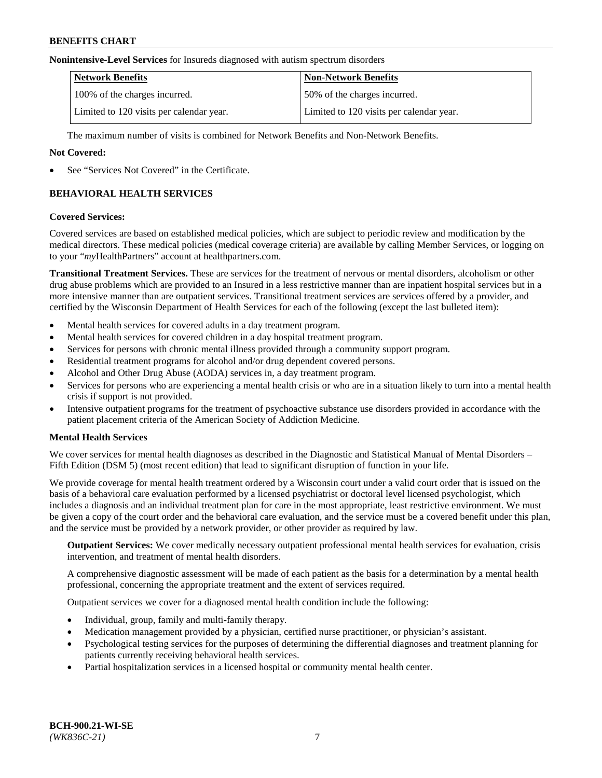#### **Nonintensive-Level Services** for Insureds diagnosed with autism spectrum disorders

| <b>Network Benefits</b>                  | <b>Non-Network Benefits</b>              |
|------------------------------------------|------------------------------------------|
| 100% of the charges incurred.            | 50% of the charges incurred.             |
| Limited to 120 visits per calendar year. | Limited to 120 visits per calendar year. |

The maximum number of visits is combined for Network Benefits and Non-Network Benefits.

### **Not Covered:**

See "Services Not Covered" in the Certificate.

## **BEHAVIORAL HEALTH SERVICES**

#### **Covered Services:**

Covered services are based on established medical policies, which are subject to periodic review and modification by the medical directors. These medical policies (medical coverage criteria) are available by calling Member Services, or logging on to your "*my*HealthPartners" account at [healthpartners.com.](https://www.healthpartners.com/hp/index.html)

**Transitional Treatment Services.** These are services for the treatment of nervous or mental disorders, alcoholism or other drug abuse problems which are provided to an Insured in a less restrictive manner than are inpatient hospital services but in a more intensive manner than are outpatient services. Transitional treatment services are services offered by a provider, and certified by the Wisconsin Department of Health Services for each of the following (except the last bulleted item):

- Mental health services for covered adults in a day treatment program.
- Mental health services for covered children in a day hospital treatment program.
- Services for persons with chronic mental illness provided through a community support program.
- Residential treatment programs for alcohol and/or drug dependent covered persons.
- Alcohol and Other Drug Abuse (AODA) services in, a day treatment program.
- Services for persons who are experiencing a mental health crisis or who are in a situation likely to turn into a mental health crisis if support is not provided.
- Intensive outpatient programs for the treatment of psychoactive substance use disorders provided in accordance with the patient placement criteria of the American Society of Addiction Medicine.

## **Mental Health Services**

We cover services for mental health diagnoses as described in the Diagnostic and Statistical Manual of Mental Disorders – Fifth Edition (DSM 5) (most recent edition) that lead to significant disruption of function in your life.

We provide coverage for mental health treatment ordered by a Wisconsin court under a valid court order that is issued on the basis of a behavioral care evaluation performed by a licensed psychiatrist or doctoral level licensed psychologist, which includes a diagnosis and an individual treatment plan for care in the most appropriate, least restrictive environment. We must be given a copy of the court order and the behavioral care evaluation, and the service must be a covered benefit under this plan, and the service must be provided by a network provider, or other provider as required by law.

**Outpatient Services:** We cover medically necessary outpatient professional mental health services for evaluation, crisis intervention, and treatment of mental health disorders.

A comprehensive diagnostic assessment will be made of each patient as the basis for a determination by a mental health professional, concerning the appropriate treatment and the extent of services required.

Outpatient services we cover for a diagnosed mental health condition include the following:

- Individual, group, family and multi-family therapy.
- Medication management provided by a physician, certified nurse practitioner, or physician's assistant.
- Psychological testing services for the purposes of determining the differential diagnoses and treatment planning for patients currently receiving behavioral health services.
- Partial hospitalization services in a licensed hospital or community mental health center.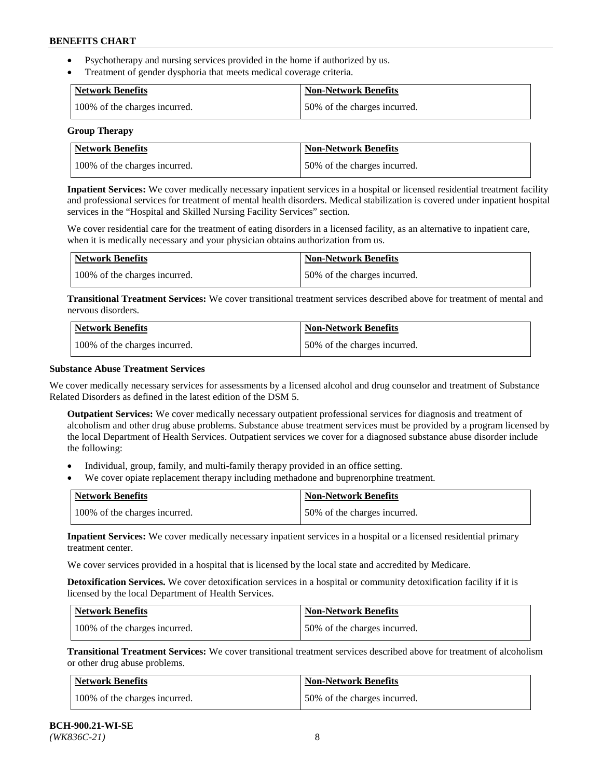- Psychotherapy and nursing services provided in the home if authorized by us.
- Treatment of gender dysphoria that meets medical coverage criteria.

| <b>Network Benefits</b>       | Non-Network Benefits         |
|-------------------------------|------------------------------|
| 100% of the charges incurred. | 50% of the charges incurred. |

#### **Group Therapy**

| Network Benefits              | <b>Non-Network Benefits</b>  |
|-------------------------------|------------------------------|
| 100% of the charges incurred. | 50% of the charges incurred. |

**Inpatient Services:** We cover medically necessary inpatient services in a hospital or licensed residential treatment facility and professional services for treatment of mental health disorders. Medical stabilization is covered under inpatient hospital services in the "Hospital and Skilled Nursing Facility Services" section.

We cover residential care for the treatment of eating disorders in a licensed facility, as an alternative to inpatient care, when it is medically necessary and your physician obtains authorization from us.

| <b>Network Benefits</b>       | <b>Non-Network Benefits</b>  |
|-------------------------------|------------------------------|
| 100% of the charges incurred. | 50% of the charges incurred. |

**Transitional Treatment Services:** We cover transitional treatment services described above for treatment of mental and nervous disorders.

| <b>Network Benefits</b>       | <b>Non-Network Benefits</b>  |
|-------------------------------|------------------------------|
| 100% of the charges incurred. | 50% of the charges incurred. |

#### **Substance Abuse Treatment Services**

We cover medically necessary services for assessments by a licensed alcohol and drug counselor and treatment of Substance Related Disorders as defined in the latest edition of the DSM 5.

**Outpatient Services:** We cover medically necessary outpatient professional services for diagnosis and treatment of alcoholism and other drug abuse problems. Substance abuse treatment services must be provided by a program licensed by the local Department of Health Services. Outpatient services we cover for a diagnosed substance abuse disorder include the following:

- Individual, group, family, and multi-family therapy provided in an office setting.
- We cover opiate replacement therapy including methadone and buprenorphine treatment.

| <b>Network Benefits</b>       | <b>Non-Network Benefits</b>  |
|-------------------------------|------------------------------|
| 100% of the charges incurred. | 50% of the charges incurred. |

**Inpatient Services:** We cover medically necessary inpatient services in a hospital or a licensed residential primary treatment center.

We cover services provided in a hospital that is licensed by the local state and accredited by Medicare.

**Detoxification Services.** We cover detoxification services in a hospital or community detoxification facility if it is licensed by the local Department of Health Services.

| Network Benefits              | <b>Non-Network Benefits</b>  |
|-------------------------------|------------------------------|
| 100% of the charges incurred. | 50% of the charges incurred. |

**Transitional Treatment Services:** We cover transitional treatment services described above for treatment of alcoholism or other drug abuse problems.

| Network Benefits              | <b>Non-Network Benefits</b>  |
|-------------------------------|------------------------------|
| 100% of the charges incurred. | 50% of the charges incurred. |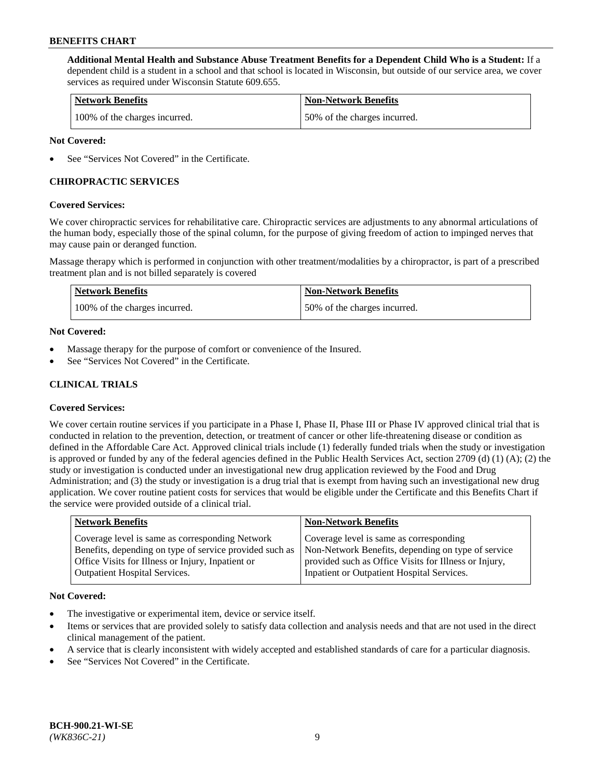**Additional Mental Health and Substance Abuse Treatment Benefits for a Dependent Child Who is a Student:** If a dependent child is a student in a school and that school is located in Wisconsin, but outside of our service area, we cover services as required under Wisconsin Statute 609.655.

| <b>Network Benefits</b>       | <b>Non-Network Benefits</b>  |
|-------------------------------|------------------------------|
| 100% of the charges incurred. | 50% of the charges incurred. |

### **Not Covered:**

See "Services Not Covered" in the Certificate.

## **CHIROPRACTIC SERVICES**

#### **Covered Services:**

We cover chiropractic services for rehabilitative care. Chiropractic services are adjustments to any abnormal articulations of the human body, especially those of the spinal column, for the purpose of giving freedom of action to impinged nerves that may cause pain or deranged function.

Massage therapy which is performed in conjunction with other treatment/modalities by a chiropractor, is part of a prescribed treatment plan and is not billed separately is covered

| <b>Network Benefits</b>       | <b>Non-Network Benefits</b>  |
|-------------------------------|------------------------------|
| 100% of the charges incurred. | 50% of the charges incurred. |

#### **Not Covered:**

- Massage therapy for the purpose of comfort or convenience of the Insured.
- See "Services Not Covered" in the Certificate.

## **CLINICAL TRIALS**

## **Covered Services:**

We cover certain routine services if you participate in a Phase I, Phase II, Phase III or Phase IV approved clinical trial that is conducted in relation to the prevention, detection, or treatment of cancer or other life-threatening disease or condition as defined in the Affordable Care Act. Approved clinical trials include (1) federally funded trials when the study or investigation is approved or funded by any of the federal agencies defined in the Public Health Services Act, section 2709 (d) (1) (A); (2) the study or investigation is conducted under an investigational new drug application reviewed by the Food and Drug Administration; and (3) the study or investigation is a drug trial that is exempt from having such an investigational new drug application. We cover routine patient costs for services that would be eligible under the Certificate and this Benefits Chart if the service were provided outside of a clinical trial.

| Coverage level is same as corresponding<br>Coverage level is same as corresponding Network<br>Non-Network Benefits, depending on type of service<br>Benefits, depending on type of service provided such as | <b>Network Benefits</b> | <b>Non-Network Benefits</b> |
|-------------------------------------------------------------------------------------------------------------------------------------------------------------------------------------------------------------|-------------------------|-----------------------------|
| Office Visits for Illness or Injury, Inpatient or<br>provided such as Office Visits for Illness or Injury,<br>Inpatient or Outpatient Hospital Services.<br><b>Outpatient Hospital Services.</b>            |                         |                             |

#### **Not Covered:**

- The investigative or experimental item, device or service itself.
- Items or services that are provided solely to satisfy data collection and analysis needs and that are not used in the direct clinical management of the patient.
- A service that is clearly inconsistent with widely accepted and established standards of care for a particular diagnosis.
- See "Services Not Covered" in the Certificate.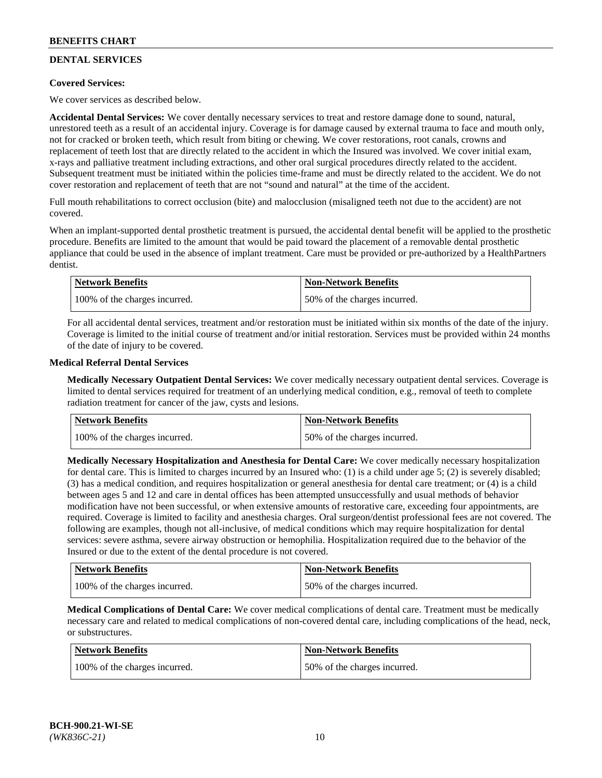## **DENTAL SERVICES**

## **Covered Services:**

We cover services as described below.

**Accidental Dental Services:** We cover dentally necessary services to treat and restore damage done to sound, natural, unrestored teeth as a result of an accidental injury. Coverage is for damage caused by external trauma to face and mouth only, not for cracked or broken teeth, which result from biting or chewing. We cover restorations, root canals, crowns and replacement of teeth lost that are directly related to the accident in which the Insured was involved. We cover initial exam, x-rays and palliative treatment including extractions, and other oral surgical procedures directly related to the accident. Subsequent treatment must be initiated within the policies time-frame and must be directly related to the accident. We do not cover restoration and replacement of teeth that are not "sound and natural" at the time of the accident.

Full mouth rehabilitations to correct occlusion (bite) and malocclusion (misaligned teeth not due to the accident) are not covered.

When an implant-supported dental prosthetic treatment is pursued, the accidental dental benefit will be applied to the prosthetic procedure. Benefits are limited to the amount that would be paid toward the placement of a removable dental prosthetic appliance that could be used in the absence of implant treatment. Care must be provided or pre-authorized by a HealthPartners dentist.

| <b>Network Benefits</b>       | <b>Non-Network Benefits</b>  |
|-------------------------------|------------------------------|
| 100% of the charges incurred. | 50% of the charges incurred. |

For all accidental dental services, treatment and/or restoration must be initiated within six months of the date of the injury. Coverage is limited to the initial course of treatment and/or initial restoration. Services must be provided within 24 months of the date of injury to be covered.

#### **Medical Referral Dental Services**

**Medically Necessary Outpatient Dental Services:** We cover medically necessary outpatient dental services. Coverage is limited to dental services required for treatment of an underlying medical condition, e.g., removal of teeth to complete radiation treatment for cancer of the jaw, cysts and lesions.

| <b>Network Benefits</b>       | <b>Non-Network Benefits</b>  |
|-------------------------------|------------------------------|
| 100% of the charges incurred. | 50% of the charges incurred. |

**Medically Necessary Hospitalization and Anesthesia for Dental Care:** We cover medically necessary hospitalization for dental care. This is limited to charges incurred by an Insured who: (1) is a child under age  $5$ ; (2) is severely disabled; (3) has a medical condition, and requires hospitalization or general anesthesia for dental care treatment; or (4) is a child between ages 5 and 12 and care in dental offices has been attempted unsuccessfully and usual methods of behavior modification have not been successful, or when extensive amounts of restorative care, exceeding four appointments, are required. Coverage is limited to facility and anesthesia charges. Oral surgeon/dentist professional fees are not covered. The following are examples, though not all-inclusive, of medical conditions which may require hospitalization for dental services: severe asthma, severe airway obstruction or hemophilia. Hospitalization required due to the behavior of the Insured or due to the extent of the dental procedure is not covered.

| Network Benefits              | <b>Non-Network Benefits</b>  |
|-------------------------------|------------------------------|
| 100% of the charges incurred. | 50% of the charges incurred. |

**Medical Complications of Dental Care:** We cover medical complications of dental care. Treatment must be medically necessary care and related to medical complications of non-covered dental care, including complications of the head, neck, or substructures.

| Network Benefits              | <b>Non-Network Benefits</b>  |
|-------------------------------|------------------------------|
| 100% of the charges incurred. | 50% of the charges incurred. |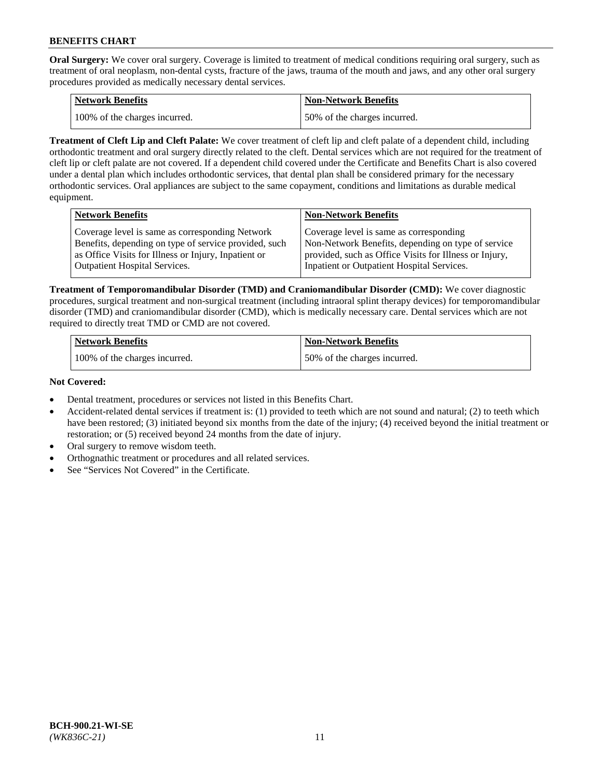**Oral Surgery:** We cover oral surgery. Coverage is limited to treatment of medical conditions requiring oral surgery, such as treatment of oral neoplasm, non-dental cysts, fracture of the jaws, trauma of the mouth and jaws, and any other oral surgery procedures provided as medically necessary dental services.

| <b>Network Benefits</b>       | Non-Network Benefits         |
|-------------------------------|------------------------------|
| 100% of the charges incurred. | 50% of the charges incurred. |

**Treatment of Cleft Lip and Cleft Palate:** We cover treatment of cleft lip and cleft palate of a dependent child, including orthodontic treatment and oral surgery directly related to the cleft. Dental services which are not required for the treatment of cleft lip or cleft palate are not covered. If a dependent child covered under the Certificate and Benefits Chart is also covered under a dental plan which includes orthodontic services, that dental plan shall be considered primary for the necessary orthodontic services. Oral appliances are subject to the same copayment, conditions and limitations as durable medical equipment.

| <b>Network Benefits</b>                               | <b>Non-Network Benefits</b>                            |
|-------------------------------------------------------|--------------------------------------------------------|
| Coverage level is same as corresponding Network       | Coverage level is same as corresponding                |
| Benefits, depending on type of service provided, such | Non-Network Benefits, depending on type of service     |
| as Office Visits for Illness or Injury, Inpatient or  | provided, such as Office Visits for Illness or Injury, |
| Outpatient Hospital Services.                         | Inpatient or Outpatient Hospital Services.             |

**Treatment of Temporomandibular Disorder (TMD) and Craniomandibular Disorder (CMD):** We cover diagnostic procedures, surgical treatment and non-surgical treatment (including intraoral splint therapy devices) for temporomandibular disorder (TMD) and craniomandibular disorder (CMD), which is medically necessary care. Dental services which are not required to directly treat TMD or CMD are not covered.

| <b>Network Benefits</b>       | <b>Non-Network Benefits</b>  |
|-------------------------------|------------------------------|
| 100% of the charges incurred. | 50% of the charges incurred. |

#### **Not Covered:**

- Dental treatment, procedures or services not listed in this Benefits Chart.
- Accident-related dental services if treatment is: (1) provided to teeth which are not sound and natural; (2) to teeth which have been restored; (3) initiated beyond six months from the date of the injury; (4) received beyond the initial treatment or restoration; or (5) received beyond 24 months from the date of injury.
- Oral surgery to remove wisdom teeth.
- Orthognathic treatment or procedures and all related services.
- See "Services Not Covered" in the Certificate.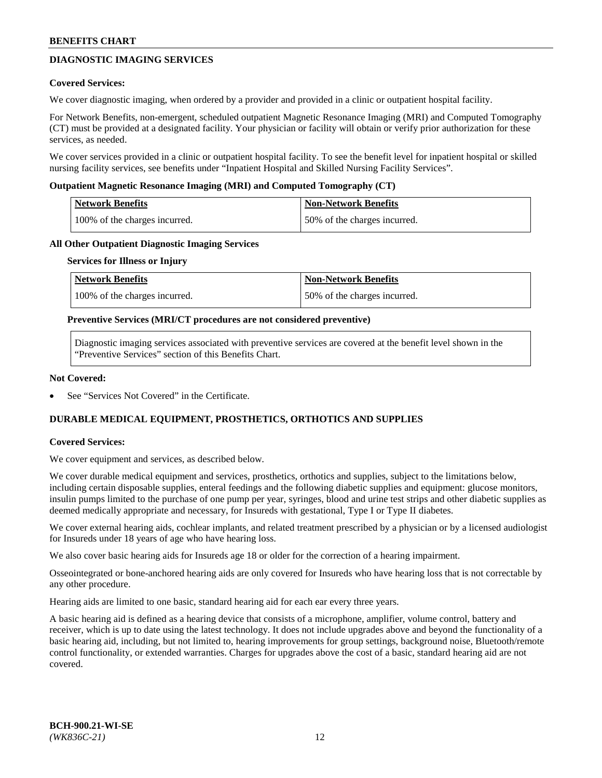## **DIAGNOSTIC IMAGING SERVICES**

### **Covered Services:**

We cover diagnostic imaging, when ordered by a provider and provided in a clinic or outpatient hospital facility.

For Network Benefits, non-emergent, scheduled outpatient Magnetic Resonance Imaging (MRI) and Computed Tomography (CT) must be provided at a designated facility. Your physician or facility will obtain or verify prior authorization for these services, as needed.

We cover services provided in a clinic or outpatient hospital facility. To see the benefit level for inpatient hospital or skilled nursing facility services, see benefits under "Inpatient Hospital and Skilled Nursing Facility Services".

#### **Outpatient Magnetic Resonance Imaging (MRI) and Computed Tomography (CT)**

| <b>Network Benefits</b>       | <b>Non-Network Benefits</b>  |
|-------------------------------|------------------------------|
| 100% of the charges incurred. | 50% of the charges incurred. |

#### **All Other Outpatient Diagnostic Imaging Services**

#### **Services for Illness or Injury**

| Network Benefits              | <b>Non-Network Benefits</b>  |
|-------------------------------|------------------------------|
| 100% of the charges incurred. | 50% of the charges incurred. |

#### **Preventive Services (MRI/CT procedures are not considered preventive)**

Diagnostic imaging services associated with preventive services are covered at the benefit level shown in the "Preventive Services" section of this Benefits Chart.

#### **Not Covered:**

See "Services Not Covered" in the Certificate.

## **DURABLE MEDICAL EQUIPMENT, PROSTHETICS, ORTHOTICS AND SUPPLIES**

#### **Covered Services:**

We cover equipment and services, as described below.

We cover durable medical equipment and services, prosthetics, orthotics and supplies, subject to the limitations below, including certain disposable supplies, enteral feedings and the following diabetic supplies and equipment: glucose monitors, insulin pumps limited to the purchase of one pump per year, syringes, blood and urine test strips and other diabetic supplies as deemed medically appropriate and necessary, for Insureds with gestational, Type I or Type II diabetes.

We cover external hearing aids, cochlear implants, and related treatment prescribed by a physician or by a licensed audiologist for Insureds under 18 years of age who have hearing loss.

We also cover basic hearing aids for Insureds age 18 or older for the correction of a hearing impairment.

Osseointegrated or bone-anchored hearing aids are only covered for Insureds who have hearing loss that is not correctable by any other procedure.

Hearing aids are limited to one basic, standard hearing aid for each ear every three years.

A basic hearing aid is defined as a hearing device that consists of a microphone, amplifier, volume control, battery and receiver, which is up to date using the latest technology. It does not include upgrades above and beyond the functionality of a basic hearing aid, including, but not limited to, hearing improvements for group settings, background noise, Bluetooth/remote control functionality, or extended warranties. Charges for upgrades above the cost of a basic, standard hearing aid are not covered.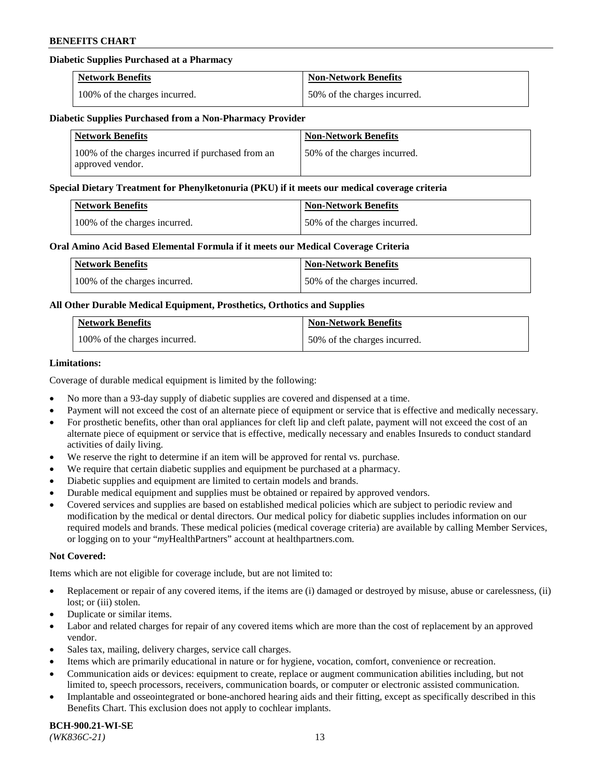## **Diabetic Supplies Purchased at a Pharmacy**

| <b>Network Benefits</b>       | <b>Non-Network Benefits</b>  |
|-------------------------------|------------------------------|
| 100% of the charges incurred. | 50% of the charges incurred. |

#### **Diabetic Supplies Purchased from a Non-Pharmacy Provider**

| <b>Network Benefits</b>                                               | <b>Non-Network Benefits</b>  |
|-----------------------------------------------------------------------|------------------------------|
| 100% of the charges incurred if purchased from an<br>approved vendor. | 50% of the charges incurred. |

#### **Special Dietary Treatment for Phenylketonuria (PKU) if it meets our medical coverage criteria**

| Network Benefits              | <b>Non-Network Benefits</b>  |
|-------------------------------|------------------------------|
| 100% of the charges incurred. | 50% of the charges incurred. |

#### **Oral Amino Acid Based Elemental Formula if it meets our Medical Coverage Criteria**

| <b>Network Benefits</b>       | <b>Non-Network Benefits</b>  |
|-------------------------------|------------------------------|
| 100% of the charges incurred. | 50% of the charges incurred. |

## **All Other Durable Medical Equipment, Prosthetics, Orthotics and Supplies**

| <b>Network Benefits</b>       | <b>Non-Network Benefits</b>  |
|-------------------------------|------------------------------|
| 100% of the charges incurred. | 50% of the charges incurred. |

### **Limitations:**

Coverage of durable medical equipment is limited by the following:

- No more than a 93-day supply of diabetic supplies are covered and dispensed at a time.
- Payment will not exceed the cost of an alternate piece of equipment or service that is effective and medically necessary.
- For prosthetic benefits, other than oral appliances for cleft lip and cleft palate, payment will not exceed the cost of an alternate piece of equipment or service that is effective, medically necessary and enables Insureds to conduct standard activities of daily living.
- We reserve the right to determine if an item will be approved for rental vs. purchase.
- We require that certain diabetic supplies and equipment be purchased at a pharmacy.
- Diabetic supplies and equipment are limited to certain models and brands.
- Durable medical equipment and supplies must be obtained or repaired by approved vendors.
- Covered services and supplies are based on established medical policies which are subject to periodic review and modification by the medical or dental directors. Our medical policy for diabetic supplies includes information on our required models and brands. These medical policies (medical coverage criteria) are available by calling Member Services, or logging on to your "*my*HealthPartners" account a[t healthpartners.com.](https://www.healthpartners.com/hp/index.html)

## **Not Covered:**

Items which are not eligible for coverage include, but are not limited to:

- Replacement or repair of any covered items, if the items are (i) damaged or destroyed by misuse, abuse or carelessness, (ii) lost; or (iii) stolen.
- Duplicate or similar items.
- Labor and related charges for repair of any covered items which are more than the cost of replacement by an approved vendor.
- Sales tax, mailing, delivery charges, service call charges.
- Items which are primarily educational in nature or for hygiene, vocation, comfort, convenience or recreation.
- Communication aids or devices: equipment to create, replace or augment communication abilities including, but not limited to, speech processors, receivers, communication boards, or computer or electronic assisted communication.
- Implantable and osseointegrated or bone-anchored hearing aids and their fitting, except as specifically described in this Benefits Chart. This exclusion does not apply to cochlear implants.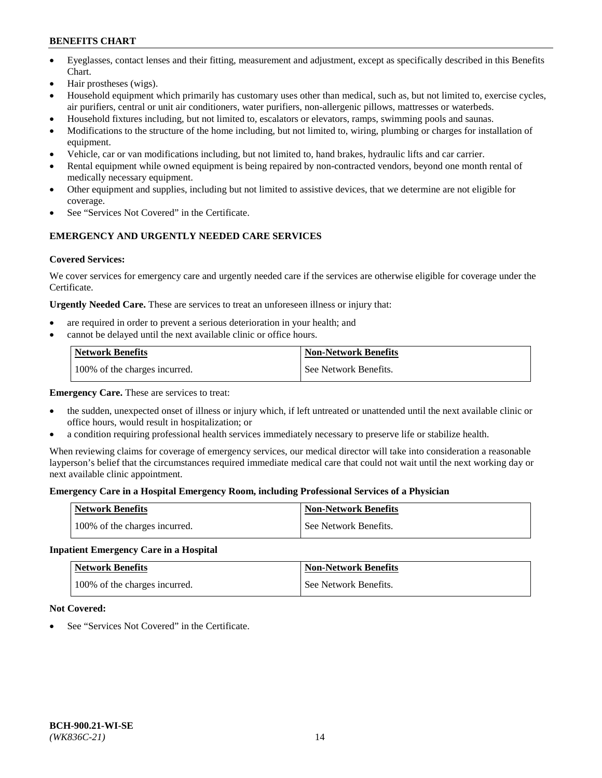- Eyeglasses, contact lenses and their fitting, measurement and adjustment, except as specifically described in this Benefits Chart.
- Hair prostheses (wigs).
- Household equipment which primarily has customary uses other than medical, such as, but not limited to, exercise cycles, air purifiers, central or unit air conditioners, water purifiers, non-allergenic pillows, mattresses or waterbeds.
- Household fixtures including, but not limited to, escalators or elevators, ramps, swimming pools and saunas.
- Modifications to the structure of the home including, but not limited to, wiring, plumbing or charges for installation of equipment.
- Vehicle, car or van modifications including, but not limited to, hand brakes, hydraulic lifts and car carrier.
- Rental equipment while owned equipment is being repaired by non-contracted vendors, beyond one month rental of medically necessary equipment.
- Other equipment and supplies, including but not limited to assistive devices, that we determine are not eligible for coverage.
- See "Services Not Covered" in the Certificate.

## **EMERGENCY AND URGENTLY NEEDED CARE SERVICES**

## **Covered Services:**

We cover services for emergency care and urgently needed care if the services are otherwise eligible for coverage under the Certificate.

**Urgently Needed Care.** These are services to treat an unforeseen illness or injury that:

- are required in order to prevent a serious deterioration in your health; and
- cannot be delayed until the next available clinic or office hours.

| <b>Network Benefits</b>       | <b>Non-Network Benefits</b> |
|-------------------------------|-----------------------------|
| 100% of the charges incurred. | See Network Benefits.       |

**Emergency Care.** These are services to treat:

- the sudden, unexpected onset of illness or injury which, if left untreated or unattended until the next available clinic or office hours, would result in hospitalization; or
- a condition requiring professional health services immediately necessary to preserve life or stabilize health.

When reviewing claims for coverage of emergency services, our medical director will take into consideration a reasonable layperson's belief that the circumstances required immediate medical care that could not wait until the next working day or next available clinic appointment.

## **Emergency Care in a Hospital Emergency Room, including Professional Services of a Physician**

| <b>Network Benefits</b>       | <b>Non-Network Benefits</b> |
|-------------------------------|-----------------------------|
| 100% of the charges incurred. | See Network Benefits.       |

## **Inpatient Emergency Care in a Hospital**

| <b>Network Benefits</b>       | <b>Non-Network Benefits</b> |
|-------------------------------|-----------------------------|
| 100% of the charges incurred. | See Network Benefits.       |

## **Not Covered:**

See "Services Not Covered" in the Certificate.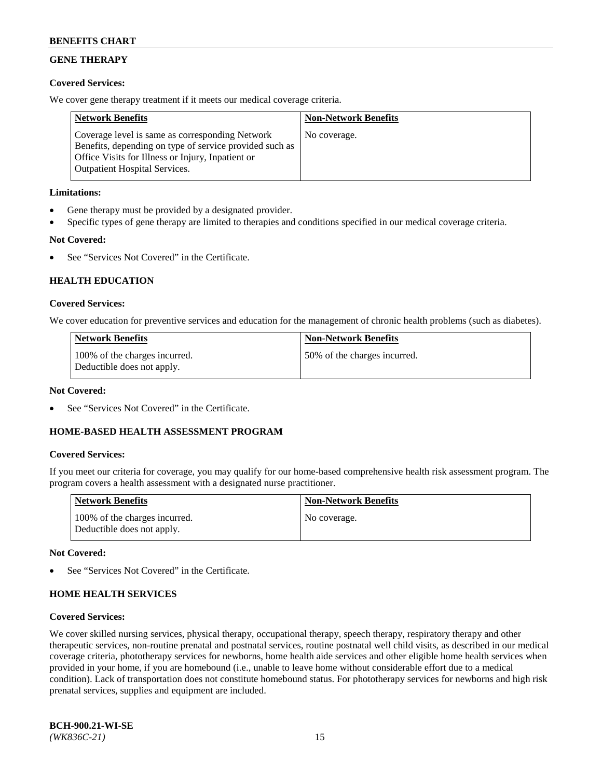## **GENE THERAPY**

## **Covered Services:**

We cover gene therapy treatment if it meets our medical coverage criteria.

| <b>Network Benefits</b>                                                                                                                                                                                 | <b>Non-Network Benefits</b> |
|---------------------------------------------------------------------------------------------------------------------------------------------------------------------------------------------------------|-----------------------------|
| Coverage level is same as corresponding Network<br>Benefits, depending on type of service provided such as<br>Office Visits for Illness or Injury, Inpatient or<br><b>Outpatient Hospital Services.</b> | No coverage.                |

## **Limitations:**

- Gene therapy must be provided by a designated provider.
- Specific types of gene therapy are limited to therapies and conditions specified in our medical coverage criteria.

## **Not Covered:**

See "Services Not Covered" in the Certificate.

## **HEALTH EDUCATION**

#### **Covered Services:**

We cover education for preventive services and education for the management of chronic health problems (such as diabetes).

| <b>Network Benefits</b>                                     | <b>Non-Network Benefits</b>  |
|-------------------------------------------------------------|------------------------------|
| 100% of the charges incurred.<br>Deductible does not apply. | 50% of the charges incurred. |

#### **Not Covered:**

See "Services Not Covered" in the Certificate.

## **HOME-BASED HEALTH ASSESSMENT PROGRAM**

#### **Covered Services:**

If you meet our criteria for coverage, you may qualify for our home-based comprehensive health risk assessment program. The program covers a health assessment with a designated nurse practitioner.

| <b>Network Benefits</b>                                     | <b>Non-Network Benefits</b> |
|-------------------------------------------------------------|-----------------------------|
| 100% of the charges incurred.<br>Deductible does not apply. | No coverage.                |

#### **Not Covered:**

See "Services Not Covered" in the Certificate.

## **HOME HEALTH SERVICES**

#### **Covered Services:**

We cover skilled nursing services, physical therapy, occupational therapy, speech therapy, respiratory therapy and other therapeutic services, non-routine prenatal and postnatal services, routine postnatal well child visits, as described in our medical coverage criteria, phototherapy services for newborns, home health aide services and other eligible home health services when provided in your home, if you are homebound (i.e., unable to leave home without considerable effort due to a medical condition). Lack of transportation does not constitute homebound status. For phototherapy services for newborns and high risk prenatal services, supplies and equipment are included.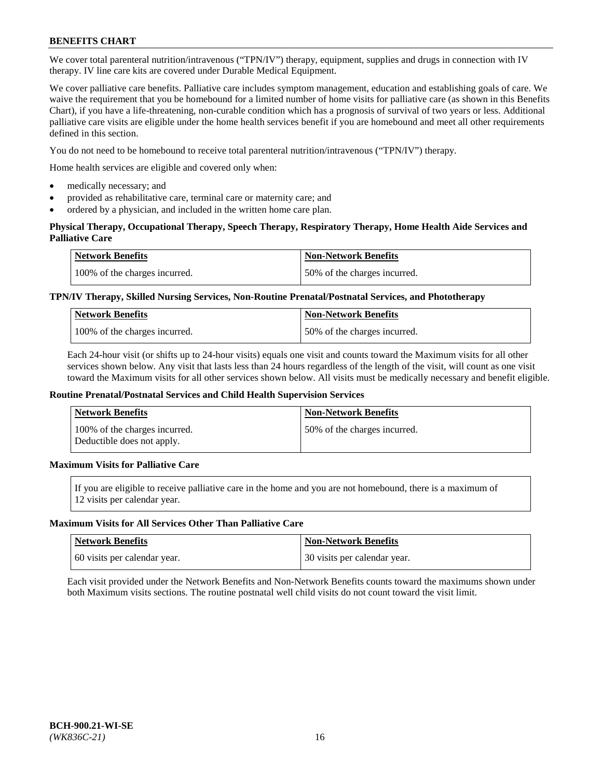We cover total parenteral nutrition/intravenous ("TPN/IV") therapy, equipment, supplies and drugs in connection with IV therapy. IV line care kits are covered under Durable Medical Equipment.

We cover palliative care benefits. Palliative care includes symptom management, education and establishing goals of care. We waive the requirement that you be homebound for a limited number of home visits for palliative care (as shown in this Benefits Chart), if you have a life-threatening, non-curable condition which has a prognosis of survival of two years or less. Additional palliative care visits are eligible under the home health services benefit if you are homebound and meet all other requirements defined in this section.

You do not need to be homebound to receive total parenteral nutrition/intravenous ("TPN/IV") therapy.

Home health services are eligible and covered only when:

- medically necessary; and
- provided as rehabilitative care, terminal care or maternity care; and
- ordered by a physician, and included in the written home care plan.

## **Physical Therapy, Occupational Therapy, Speech Therapy, Respiratory Therapy, Home Health Aide Services and Palliative Care**

| <b>Network Benefits</b>       | <b>Non-Network Benefits</b>  |
|-------------------------------|------------------------------|
| 100% of the charges incurred. | 50% of the charges incurred. |

## **TPN/IV Therapy, Skilled Nursing Services, Non-Routine Prenatal/Postnatal Services, and Phototherapy**

| <b>Network Benefits</b>       | <b>Non-Network Benefits</b>  |
|-------------------------------|------------------------------|
| 100% of the charges incurred. | 50% of the charges incurred. |

Each 24-hour visit (or shifts up to 24-hour visits) equals one visit and counts toward the Maximum visits for all other services shown below. Any visit that lasts less than 24 hours regardless of the length of the visit, will count as one visit toward the Maximum visits for all other services shown below. All visits must be medically necessary and benefit eligible.

#### **Routine Prenatal/Postnatal Services and Child Health Supervision Services**

| <b>Network Benefits</b>                                     | <b>Non-Network Benefits</b>  |
|-------------------------------------------------------------|------------------------------|
| 100% of the charges incurred.<br>Deductible does not apply. | 50% of the charges incurred. |

## **Maximum Visits for Palliative Care**

If you are eligible to receive palliative care in the home and you are not homebound, there is a maximum of 12 visits per calendar year.

#### **Maximum Visits for All Services Other Than Palliative Care**

| Network Benefits             | <b>Non-Network Benefits</b>  |
|------------------------------|------------------------------|
| 60 visits per calendar year. | 30 visits per calendar year. |

Each visit provided under the Network Benefits and Non-Network Benefits counts toward the maximums shown under both Maximum visits sections. The routine postnatal well child visits do not count toward the visit limit.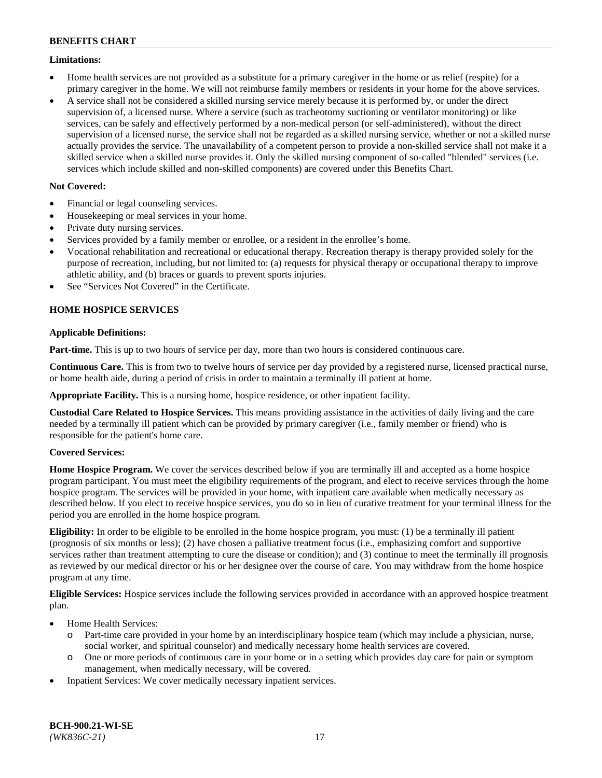### **Limitations:**

- Home health services are not provided as a substitute for a primary caregiver in the home or as relief (respite) for a primary caregiver in the home. We will not reimburse family members or residents in your home for the above services.
- A service shall not be considered a skilled nursing service merely because it is performed by, or under the direct supervision of, a licensed nurse. Where a service (such as tracheotomy suctioning or ventilator monitoring) or like services, can be safely and effectively performed by a non-medical person (or self-administered), without the direct supervision of a licensed nurse, the service shall not be regarded as a skilled nursing service, whether or not a skilled nurse actually provides the service. The unavailability of a competent person to provide a non-skilled service shall not make it a skilled service when a skilled nurse provides it. Only the skilled nursing component of so-called "blended" services (i.e. services which include skilled and non-skilled components) are covered under this Benefits Chart.

## **Not Covered:**

- Financial or legal counseling services.
- Housekeeping or meal services in your home.
- Private duty nursing services.
- Services provided by a family member or enrollee, or a resident in the enrollee's home.
- Vocational rehabilitation and recreational or educational therapy. Recreation therapy is therapy provided solely for the purpose of recreation, including, but not limited to: (a) requests for physical therapy or occupational therapy to improve athletic ability, and (b) braces or guards to prevent sports injuries.
- See "Services Not Covered" in the Certificate.

## **HOME HOSPICE SERVICES**

## **Applicable Definitions:**

**Part-time.** This is up to two hours of service per day, more than two hours is considered continuous care.

**Continuous Care.** This is from two to twelve hours of service per day provided by a registered nurse, licensed practical nurse, or home health aide, during a period of crisis in order to maintain a terminally ill patient at home.

**Appropriate Facility.** This is a nursing home, hospice residence, or other inpatient facility.

**Custodial Care Related to Hospice Services.** This means providing assistance in the activities of daily living and the care needed by a terminally ill patient which can be provided by primary caregiver (i.e., family member or friend) who is responsible for the patient's home care.

## **Covered Services:**

**Home Hospice Program.** We cover the services described below if you are terminally ill and accepted as a home hospice program participant. You must meet the eligibility requirements of the program, and elect to receive services through the home hospice program. The services will be provided in your home, with inpatient care available when medically necessary as described below. If you elect to receive hospice services, you do so in lieu of curative treatment for your terminal illness for the period you are enrolled in the home hospice program.

**Eligibility:** In order to be eligible to be enrolled in the home hospice program, you must: (1) be a terminally ill patient (prognosis of six months or less); (2) have chosen a palliative treatment focus (i.e., emphasizing comfort and supportive services rather than treatment attempting to cure the disease or condition); and (3) continue to meet the terminally ill prognosis as reviewed by our medical director or his or her designee over the course of care. You may withdraw from the home hospice program at any time.

**Eligible Services:** Hospice services include the following services provided in accordance with an approved hospice treatment plan.

- Home Health Services:
	- o Part-time care provided in your home by an interdisciplinary hospice team (which may include a physician, nurse, social worker, and spiritual counselor) and medically necessary home health services are covered.
	- o One or more periods of continuous care in your home or in a setting which provides day care for pain or symptom management, when medically necessary, will be covered.
- Inpatient Services: We cover medically necessary inpatient services.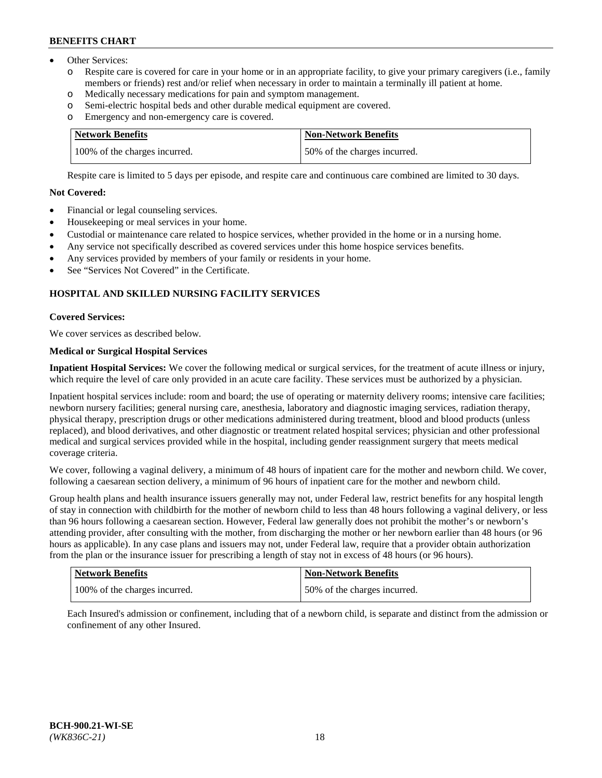- Other Services:
	- Respite care is covered for care in your home or in an appropriate facility, to give your primary caregivers (i.e., family members or friends) rest and/or relief when necessary in order to maintain a terminally ill patient at home.
	- o Medically necessary medications for pain and symptom management.
	- o Semi-electric hospital beds and other durable medical equipment are covered.
	- Emergency and non-emergency care is covered.

| Network Benefits              | Non-Network Benefits         |
|-------------------------------|------------------------------|
| 100% of the charges incurred. | 50% of the charges incurred. |

Respite care is limited to 5 days per episode, and respite care and continuous care combined are limited to 30 days.

## **Not Covered:**

- Financial or legal counseling services.
- Housekeeping or meal services in your home.
- Custodial or maintenance care related to hospice services, whether provided in the home or in a nursing home.
- Any service not specifically described as covered services under this home hospice services benefits.
- Any services provided by members of your family or residents in your home.
- See "Services Not Covered" in the Certificate.

## **HOSPITAL AND SKILLED NURSING FACILITY SERVICES**

#### **Covered Services:**

We cover services as described below.

## **Medical or Surgical Hospital Services**

**Inpatient Hospital Services:** We cover the following medical or surgical services, for the treatment of acute illness or injury, which require the level of care only provided in an acute care facility. These services must be authorized by a physician.

Inpatient hospital services include: room and board; the use of operating or maternity delivery rooms; intensive care facilities; newborn nursery facilities; general nursing care, anesthesia, laboratory and diagnostic imaging services, radiation therapy, physical therapy, prescription drugs or other medications administered during treatment, blood and blood products (unless replaced), and blood derivatives, and other diagnostic or treatment related hospital services; physician and other professional medical and surgical services provided while in the hospital, including gender reassignment surgery that meets medical coverage criteria.

We cover, following a vaginal delivery, a minimum of 48 hours of inpatient care for the mother and newborn child. We cover, following a caesarean section delivery, a minimum of 96 hours of inpatient care for the mother and newborn child.

Group health plans and health insurance issuers generally may not, under Federal law, restrict benefits for any hospital length of stay in connection with childbirth for the mother of newborn child to less than 48 hours following a vaginal delivery, or less than 96 hours following a caesarean section. However, Federal law generally does not prohibit the mother's or newborn's attending provider, after consulting with the mother, from discharging the mother or her newborn earlier than 48 hours (or 96 hours as applicable). In any case plans and issuers may not, under Federal law, require that a provider obtain authorization from the plan or the insurance issuer for prescribing a length of stay not in excess of 48 hours (or 96 hours).

| Network Benefits              | <b>Non-Network Benefits</b>  |
|-------------------------------|------------------------------|
| 100% of the charges incurred. | 50% of the charges incurred. |

Each Insured's admission or confinement, including that of a newborn child, is separate and distinct from the admission or confinement of any other Insured.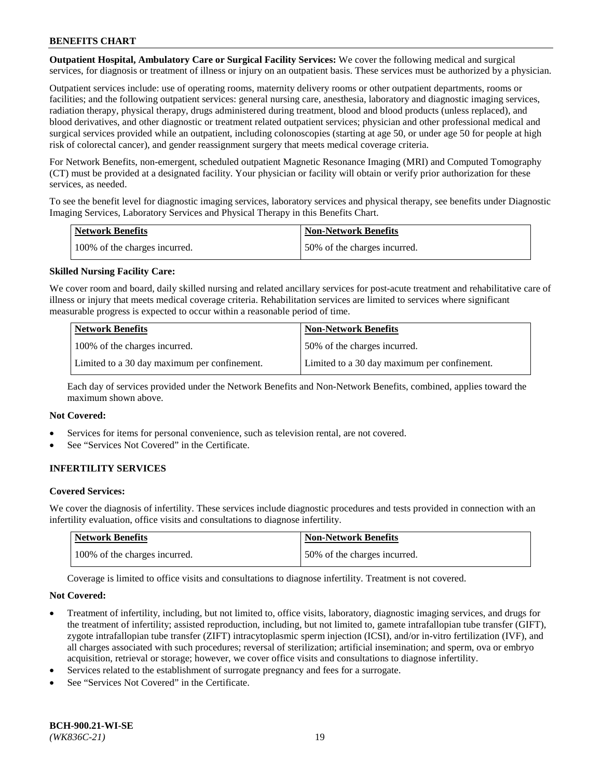**Outpatient Hospital, Ambulatory Care or Surgical Facility Services:** We cover the following medical and surgical services, for diagnosis or treatment of illness or injury on an outpatient basis. These services must be authorized by a physician.

Outpatient services include: use of operating rooms, maternity delivery rooms or other outpatient departments, rooms or facilities; and the following outpatient services: general nursing care, anesthesia, laboratory and diagnostic imaging services, radiation therapy, physical therapy, drugs administered during treatment, blood and blood products (unless replaced), and blood derivatives, and other diagnostic or treatment related outpatient services; physician and other professional medical and surgical services provided while an outpatient, including colonoscopies (starting at age 50, or under age 50 for people at high risk of colorectal cancer), and gender reassignment surgery that meets medical coverage criteria.

For Network Benefits, non-emergent, scheduled outpatient Magnetic Resonance Imaging (MRI) and Computed Tomography (CT) must be provided at a designated facility. Your physician or facility will obtain or verify prior authorization for these services, as needed.

To see the benefit level for diagnostic imaging services, laboratory services and physical therapy, see benefits under Diagnostic Imaging Services, Laboratory Services and Physical Therapy in this Benefits Chart.

| <b>Network Benefits</b>       | <b>Non-Network Benefits</b>  |
|-------------------------------|------------------------------|
| 100% of the charges incurred. | 50% of the charges incurred. |

## **Skilled Nursing Facility Care:**

We cover room and board, daily skilled nursing and related ancillary services for post-acute treatment and rehabilitative care of illness or injury that meets medical coverage criteria. Rehabilitation services are limited to services where significant measurable progress is expected to occur within a reasonable period of time.

| <b>Network Benefits</b>                      | <b>Non-Network Benefits</b>                  |
|----------------------------------------------|----------------------------------------------|
| 100% of the charges incurred.                | 50% of the charges incurred.                 |
| Limited to a 30 day maximum per confinement. | Limited to a 30 day maximum per confinement. |

Each day of services provided under the Network Benefits and Non-Network Benefits, combined, applies toward the maximum shown above.

#### **Not Covered:**

- Services for items for personal convenience, such as television rental, are not covered.
- See "Services Not Covered" in the Certificate.

## **INFERTILITY SERVICES**

#### **Covered Services:**

We cover the diagnosis of infertility. These services include diagnostic procedures and tests provided in connection with an infertility evaluation, office visits and consultations to diagnose infertility.

| <b>Network Benefits</b>       | <b>Non-Network Benefits</b>  |
|-------------------------------|------------------------------|
| 100% of the charges incurred. | 50% of the charges incurred. |

Coverage is limited to office visits and consultations to diagnose infertility. Treatment is not covered.

#### **Not Covered:**

- Treatment of infertility, including, but not limited to, office visits, laboratory, diagnostic imaging services, and drugs for the treatment of infertility; assisted reproduction, including, but not limited to, gamete intrafallopian tube transfer (GIFT), zygote intrafallopian tube transfer (ZIFT) intracytoplasmic sperm injection (ICSI), and/or in-vitro fertilization (IVF), and all charges associated with such procedures; reversal of sterilization; artificial insemination; and sperm, ova or embryo acquisition, retrieval or storage; however, we cover office visits and consultations to diagnose infertility.
- Services related to the establishment of surrogate pregnancy and fees for a surrogate.
- See "Services Not Covered" in the Certificate.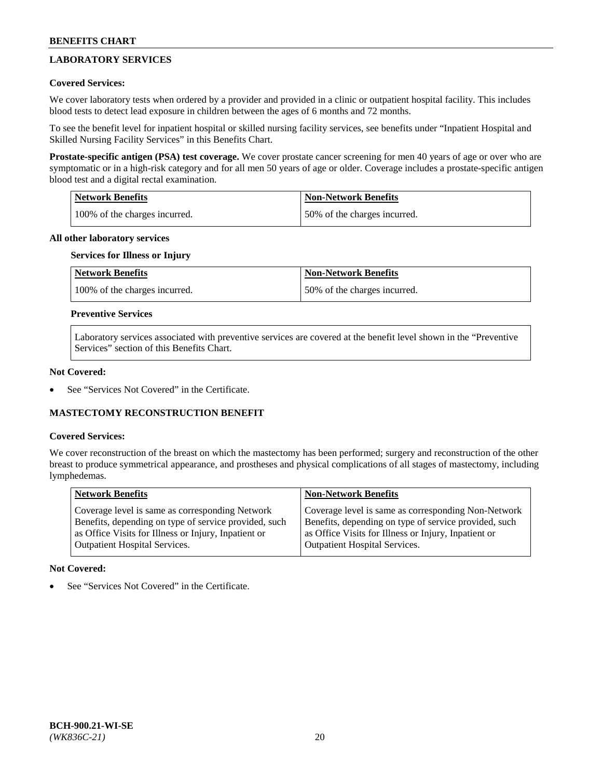## **LABORATORY SERVICES**

## **Covered Services:**

We cover laboratory tests when ordered by a provider and provided in a clinic or outpatient hospital facility. This includes blood tests to detect lead exposure in children between the ages of 6 months and 72 months.

To see the benefit level for inpatient hospital or skilled nursing facility services, see benefits under "Inpatient Hospital and Skilled Nursing Facility Services" in this Benefits Chart.

**Prostate-specific antigen (PSA) test coverage.** We cover prostate cancer screening for men 40 years of age or over who are symptomatic or in a high-risk category and for all men 50 years of age or older. Coverage includes a prostate-specific antigen blood test and a digital rectal examination.

| Network Benefits              | <b>Non-Network Benefits</b>  |
|-------------------------------|------------------------------|
| 100% of the charges incurred. | 50% of the charges incurred. |

### **All other laboratory services**

## **Services for Illness or Injury**

| <b>Network Benefits</b>       | <b>Non-Network Benefits</b>  |
|-------------------------------|------------------------------|
| 100% of the charges incurred. | 50% of the charges incurred. |

### **Preventive Services**

Laboratory services associated with preventive services are covered at the benefit level shown in the "Preventive Services" section of this Benefits Chart.

#### **Not Covered:**

See "Services Not Covered" in the Certificate.

## **MASTECTOMY RECONSTRUCTION BENEFIT**

#### **Covered Services:**

We cover reconstruction of the breast on which the mastectomy has been performed; surgery and reconstruction of the other breast to produce symmetrical appearance, and prostheses and physical complications of all stages of mastectomy, including lymphedemas.

| <b>Network Benefits</b>                               | <b>Non-Network Benefits</b>                           |
|-------------------------------------------------------|-------------------------------------------------------|
| Coverage level is same as corresponding Network       | Coverage level is same as corresponding Non-Network   |
| Benefits, depending on type of service provided, such | Benefits, depending on type of service provided, such |
| as Office Visits for Illness or Injury, Inpatient or  | as Office Visits for Illness or Injury, Inpatient or  |
| Outpatient Hospital Services.                         | Outpatient Hospital Services.                         |

## **Not Covered:**

See "Services Not Covered" in the Certificate.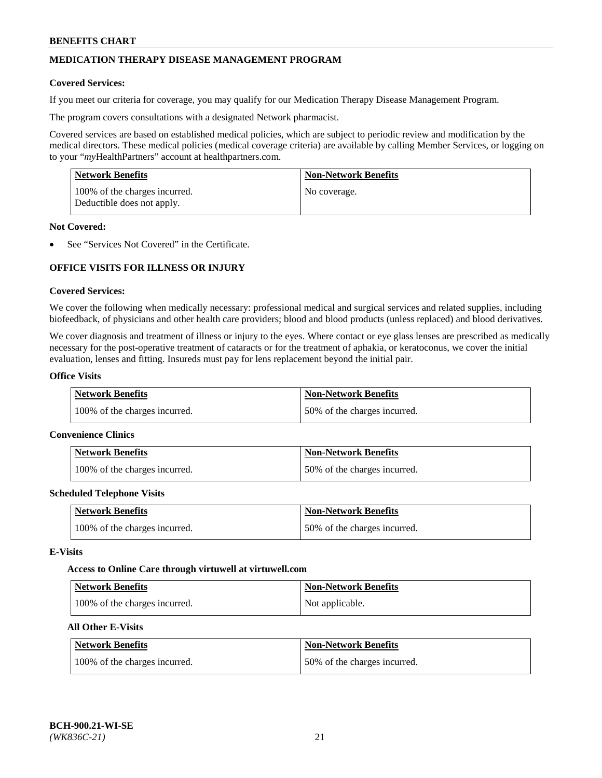## **MEDICATION THERAPY DISEASE MANAGEMENT PROGRAM**

#### **Covered Services:**

If you meet our criteria for coverage, you may qualify for our Medication Therapy Disease Management Program.

The program covers consultations with a designated Network pharmacist.

Covered services are based on established medical policies, which are subject to periodic review and modification by the medical directors. These medical policies (medical coverage criteria) are available by calling Member Services, or logging on to your "*my*HealthPartners" account at [healthpartners.com.](http://www.healthpartners.com/)

| Network Benefits                                            | <b>Non-Network Benefits</b> |
|-------------------------------------------------------------|-----------------------------|
| 100% of the charges incurred.<br>Deductible does not apply. | No coverage.                |

#### **Not Covered:**

See "Services Not Covered" in the Certificate.

## **OFFICE VISITS FOR ILLNESS OR INJURY**

#### **Covered Services:**

We cover the following when medically necessary: professional medical and surgical services and related supplies, including biofeedback, of physicians and other health care providers; blood and blood products (unless replaced) and blood derivatives.

We cover diagnosis and treatment of illness or injury to the eyes. Where contact or eye glass lenses are prescribed as medically necessary for the post-operative treatment of cataracts or for the treatment of aphakia, or keratoconus, we cover the initial evaluation, lenses and fitting. Insureds must pay for lens replacement beyond the initial pair.

## **Office Visits**

| <b>Network Benefits</b>       | <b>Non-Network Benefits</b>  |
|-------------------------------|------------------------------|
| 100% of the charges incurred. | 50% of the charges incurred. |

#### **Convenience Clinics**

| Network Benefits              | <b>Non-Network Benefits</b>  |
|-------------------------------|------------------------------|
| 100% of the charges incurred. | 50% of the charges incurred. |

#### **Scheduled Telephone Visits**

| <b>Network Benefits</b>       | Non-Network Benefits         |
|-------------------------------|------------------------------|
| 100% of the charges incurred. | 50% of the charges incurred. |

#### **E-Visits**

#### **Access to Online Care through virtuwell a[t virtuwell.com](https://www.virtuwell.com/)**

| Network Benefits              | <b>Non-Network Benefits</b> |
|-------------------------------|-----------------------------|
| 100% of the charges incurred. | Not applicable.             |

## **All Other E-Visits**

| <b>Network Benefits</b>       | <b>Non-Network Benefits</b>  |
|-------------------------------|------------------------------|
| 100% of the charges incurred. | 50% of the charges incurred. |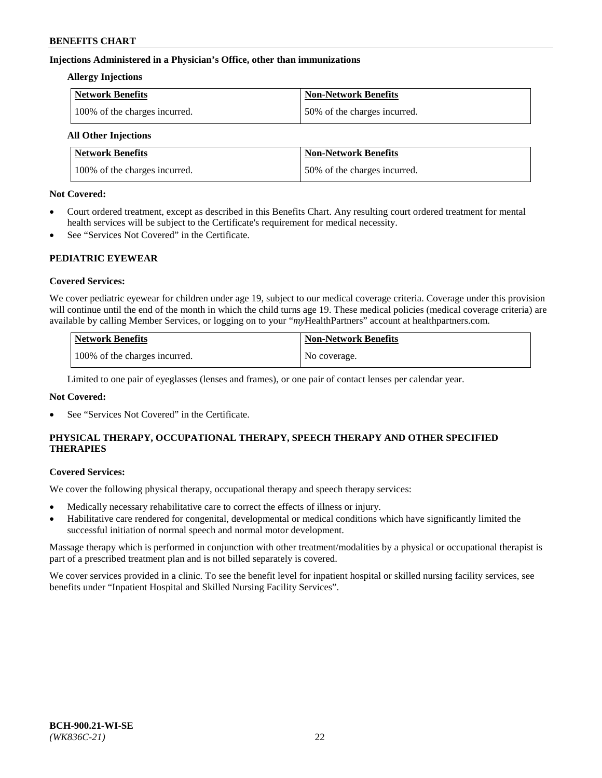## **Injections Administered in a Physician's Office, other than immunizations**

#### **Allergy Injections**

| Network Benefits              | <b>Non-Network Benefits</b>  |
|-------------------------------|------------------------------|
| 100% of the charges incurred. | 50% of the charges incurred. |

## **All Other Injections**

| <b>Network Benefits</b>       | <b>Non-Network Benefits</b>  |
|-------------------------------|------------------------------|
| 100% of the charges incurred. | 50% of the charges incurred. |

#### **Not Covered:**

- Court ordered treatment, except as described in this Benefits Chart. Any resulting court ordered treatment for mental health services will be subject to the Certificate's requirement for medical necessity.
- See "Services Not Covered" in the Certificate.

## **PEDIATRIC EYEWEAR**

## **Covered Services:**

We cover pediatric eyewear for children under age 19, subject to our medical coverage criteria. Coverage under this provision will continue until the end of the month in which the child turns age 19. These medical policies (medical coverage criteria) are available by calling Member Services, or logging on to your "*my*HealthPartners" account a[t healthpartners.com.](https://www.healthpartners.com/hp/index.html)

| Network Benefits              | <b>Non-Network Benefits</b> |
|-------------------------------|-----------------------------|
| 100% of the charges incurred. | No coverage.                |

Limited to one pair of eyeglasses (lenses and frames), or one pair of contact lenses per calendar year.

## **Not Covered:**

See "Services Not Covered" in the Certificate.

## **PHYSICAL THERAPY, OCCUPATIONAL THERAPY, SPEECH THERAPY AND OTHER SPECIFIED THERAPIES**

#### **Covered Services:**

We cover the following physical therapy, occupational therapy and speech therapy services:

- Medically necessary rehabilitative care to correct the effects of illness or injury.
- Habilitative care rendered for congenital, developmental or medical conditions which have significantly limited the successful initiation of normal speech and normal motor development.

Massage therapy which is performed in conjunction with other treatment/modalities by a physical or occupational therapist is part of a prescribed treatment plan and is not billed separately is covered.

We cover services provided in a clinic. To see the benefit level for inpatient hospital or skilled nursing facility services, see benefits under "Inpatient Hospital and Skilled Nursing Facility Services".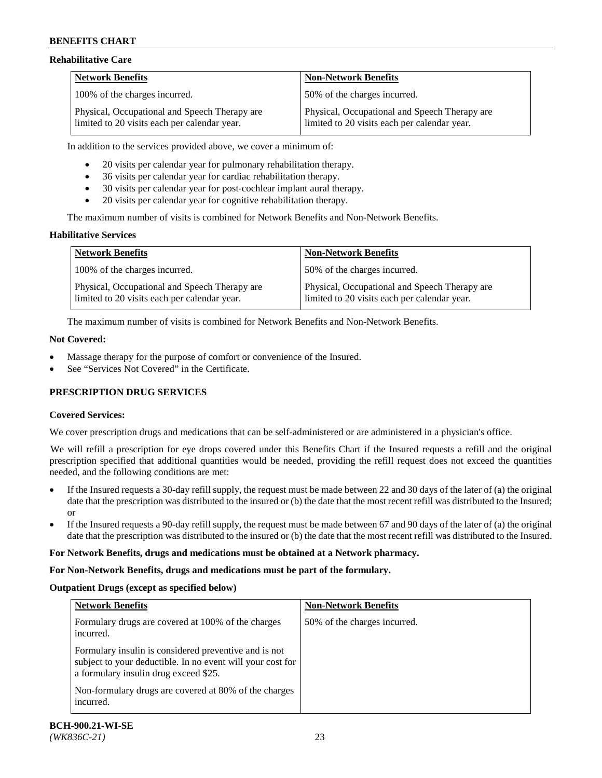### **Rehabilitative Care**

| <b>Network Benefits</b>                                                                       | <b>Non-Network Benefits</b>                                                                   |
|-----------------------------------------------------------------------------------------------|-----------------------------------------------------------------------------------------------|
| 100% of the charges incurred.                                                                 | 50% of the charges incurred.                                                                  |
| Physical, Occupational and Speech Therapy are<br>limited to 20 visits each per calendar year. | Physical, Occupational and Speech Therapy are<br>limited to 20 visits each per calendar year. |

In addition to the services provided above, we cover a minimum of:

- 20 visits per calendar year for pulmonary rehabilitation therapy.
- 36 visits per calendar year for cardiac rehabilitation therapy.
- 30 visits per calendar year for post-cochlear implant aural therapy.
- 20 visits per calendar year for cognitive rehabilitation therapy.

The maximum number of visits is combined for Network Benefits and Non-Network Benefits.

#### **Habilitative Services**

| <b>Network Benefits</b>                                                                       | <b>Non-Network Benefits</b>                                                                   |
|-----------------------------------------------------------------------------------------------|-----------------------------------------------------------------------------------------------|
| 100% of the charges incurred.                                                                 | 50% of the charges incurred.                                                                  |
| Physical, Occupational and Speech Therapy are<br>limited to 20 visits each per calendar year. | Physical, Occupational and Speech Therapy are<br>limited to 20 visits each per calendar year. |

The maximum number of visits is combined for Network Benefits and Non-Network Benefits.

#### **Not Covered:**

- Massage therapy for the purpose of comfort or convenience of the Insured.
- See "Services Not Covered" in the Certificate.

## **PRESCRIPTION DRUG SERVICES**

## **Covered Services:**

We cover prescription drugs and medications that can be self-administered or are administered in a physician's office.

We will refill a prescription for eye drops covered under this Benefits Chart if the Insured requests a refill and the original prescription specified that additional quantities would be needed, providing the refill request does not exceed the quantities needed, and the following conditions are met:

- If the Insured requests a 30-day refill supply, the request must be made between 22 and 30 days of the later of (a) the original date that the prescription was distributed to the insured or (b) the date that the most recent refill was distributed to the Insured; or
- If the Insured requests a 90-day refill supply, the request must be made between 67 and 90 days of the later of (a) the original date that the prescription was distributed to the insured or (b) the date that the most recent refill was distributed to the Insured.

#### **For Network Benefits, drugs and medications must be obtained at a Network pharmacy.**

#### **For Non-Network Benefits, drugs and medications must be part of the formulary.**

## **Outpatient Drugs (except as specified below)**

| <b>Network Benefits</b>                                                                                                                                      | <b>Non-Network Benefits</b>  |
|--------------------------------------------------------------------------------------------------------------------------------------------------------------|------------------------------|
| Formulary drugs are covered at 100% of the charges<br>incurred.                                                                                              | 50% of the charges incurred. |
| Formulary insulin is considered preventive and is not<br>subject to your deductible. In no event will your cost for<br>a formulary insulin drug exceed \$25. |                              |
| Non-formulary drugs are covered at 80% of the charges<br>incurred.                                                                                           |                              |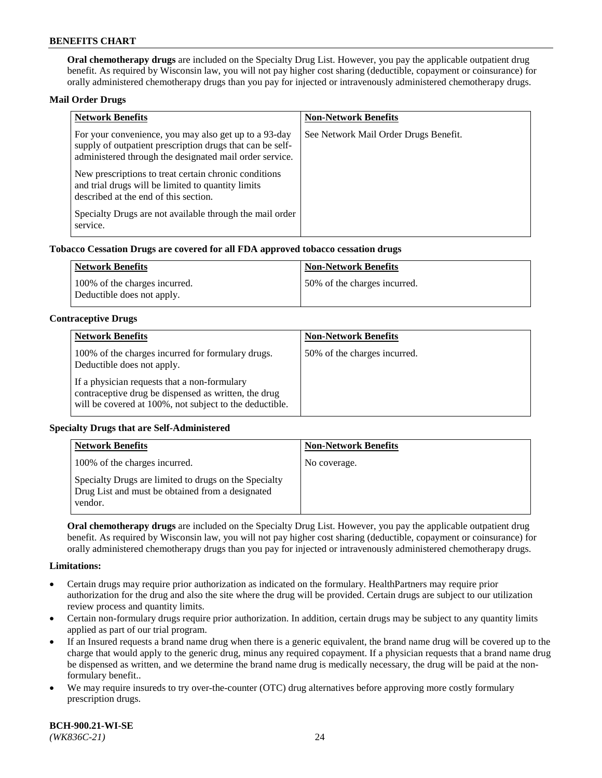**Oral chemotherapy drugs** are included on the Specialty Drug List. However, you pay the applicable outpatient drug benefit. As required by Wisconsin law, you will not pay higher cost sharing (deductible, copayment or coinsurance) for orally administered chemotherapy drugs than you pay for injected or intravenously administered chemotherapy drugs.

#### **Mail Order Drugs**

| <b>Network Benefits</b>                                                                                                                                                       | <b>Non-Network Benefits</b>           |
|-------------------------------------------------------------------------------------------------------------------------------------------------------------------------------|---------------------------------------|
| For your convenience, you may also get up to a 93-day<br>supply of outpatient prescription drugs that can be self-<br>administered through the designated mail order service. | See Network Mail Order Drugs Benefit. |
| New prescriptions to treat certain chronic conditions<br>and trial drugs will be limited to quantity limits<br>described at the end of this section.                          |                                       |
| Specialty Drugs are not available through the mail order<br>service.                                                                                                          |                                       |

#### **Tobacco Cessation Drugs are covered for all FDA approved tobacco cessation drugs**

| Network Benefits                                            | Non-Network Benefits         |
|-------------------------------------------------------------|------------------------------|
| 100% of the charges incurred.<br>Deductible does not apply. | 50% of the charges incurred. |

#### **Contraceptive Drugs**

| <b>Network Benefits</b>                                                                                                                                         | <b>Non-Network Benefits</b>  |
|-----------------------------------------------------------------------------------------------------------------------------------------------------------------|------------------------------|
| 100% of the charges incurred for formulary drugs.<br>Deductible does not apply.                                                                                 | 50% of the charges incurred. |
| If a physician requests that a non-formulary<br>contraceptive drug be dispensed as written, the drug<br>will be covered at 100%, not subject to the deductible. |                              |

#### **Specialty Drugs that are Self-Administered**

| <b>Network Benefits</b>                                                                                              | <b>Non-Network Benefits</b> |
|----------------------------------------------------------------------------------------------------------------------|-----------------------------|
| 100% of the charges incurred.                                                                                        | No coverage.                |
| Specialty Drugs are limited to drugs on the Specialty<br>Drug List and must be obtained from a designated<br>vendor. |                             |

**Oral chemotherapy drugs** are included on the Specialty Drug List. However, you pay the applicable outpatient drug benefit. As required by Wisconsin law, you will not pay higher cost sharing (deductible, copayment or coinsurance) for orally administered chemotherapy drugs than you pay for injected or intravenously administered chemotherapy drugs.

#### **Limitations:**

- Certain drugs may require prior authorization as indicated on the formulary. HealthPartners may require prior authorization for the drug and also the site where the drug will be provided. Certain drugs are subject to our utilization review process and quantity limits.
- Certain non-formulary drugs require prior authorization. In addition, certain drugs may be subject to any quantity limits applied as part of our trial program.
- If an Insured requests a brand name drug when there is a generic equivalent, the brand name drug will be covered up to the charge that would apply to the generic drug, minus any required copayment. If a physician requests that a brand name drug be dispensed as written, and we determine the brand name drug is medically necessary, the drug will be paid at the nonformulary benefit..
- We may require insureds to try over-the-counter (OTC) drug alternatives before approving more costly formulary prescription drugs.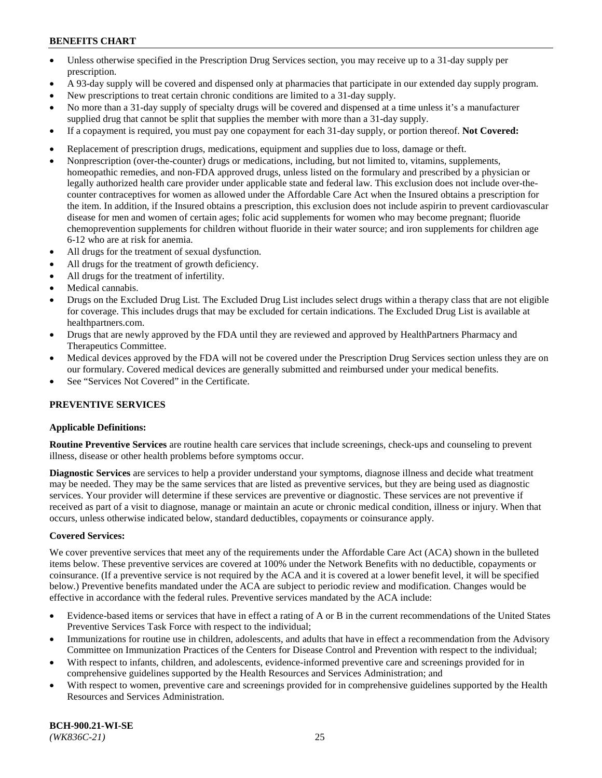- Unless otherwise specified in the Prescription Drug Services section, you may receive up to a 31-day supply per prescription.
- A 93-day supply will be covered and dispensed only at pharmacies that participate in our extended day supply program.
- New prescriptions to treat certain chronic conditions are limited to a 31-day supply.
- No more than a 31-day supply of specialty drugs will be covered and dispensed at a time unless it's a manufacturer supplied drug that cannot be split that supplies the member with more than a 31-day supply.
- If a copayment is required, you must pay one copayment for each 31-day supply, or portion thereof. **Not Covered:**
- Replacement of prescription drugs, medications, equipment and supplies due to loss, damage or theft.
- Nonprescription (over-the-counter) drugs or medications, including, but not limited to, vitamins, supplements, homeopathic remedies, and non-FDA approved drugs, unless listed on the formulary and prescribed by a physician or legally authorized health care provider under applicable state and federal law. This exclusion does not include over-thecounter contraceptives for women as allowed under the Affordable Care Act when the Insured obtains a prescription for the item. In addition, if the Insured obtains a prescription, this exclusion does not include aspirin to prevent cardiovascular disease for men and women of certain ages; folic acid supplements for women who may become pregnant; fluoride chemoprevention supplements for children without fluoride in their water source; and iron supplements for children age 6-12 who are at risk for anemia.
- All drugs for the treatment of sexual dysfunction.
- All drugs for the treatment of growth deficiency.
- All drugs for the treatment of infertility.
- Medical cannabis.
- Drugs on the Excluded Drug List. The Excluded Drug List includes select drugs within a therapy class that are not eligible for coverage. This includes drugs that may be excluded for certain indications. The Excluded Drug List is available at [healthpartners.com.](http://www.healthpartners.com/)
- Drugs that are newly approved by the FDA until they are reviewed and approved by HealthPartners Pharmacy and Therapeutics Committee.
- Medical devices approved by the FDA will not be covered under the Prescription Drug Services section unless they are on our formulary. Covered medical devices are generally submitted and reimbursed under your medical benefits.
- See "Services Not Covered" in the Certificate.

## **PREVENTIVE SERVICES**

## **Applicable Definitions:**

**Routine Preventive Services** are routine health care services that include screenings, check-ups and counseling to prevent illness, disease or other health problems before symptoms occur.

**Diagnostic Services** are services to help a provider understand your symptoms, diagnose illness and decide what treatment may be needed. They may be the same services that are listed as preventive services, but they are being used as diagnostic services. Your provider will determine if these services are preventive or diagnostic. These services are not preventive if received as part of a visit to diagnose, manage or maintain an acute or chronic medical condition, illness or injury. When that occurs, unless otherwise indicated below, standard deductibles, copayments or coinsurance apply.

## **Covered Services:**

We cover preventive services that meet any of the requirements under the Affordable Care Act (ACA) shown in the bulleted items below. These preventive services are covered at 100% under the Network Benefits with no deductible, copayments or coinsurance. (If a preventive service is not required by the ACA and it is covered at a lower benefit level, it will be specified below.) Preventive benefits mandated under the ACA are subject to periodic review and modification. Changes would be effective in accordance with the federal rules. Preventive services mandated by the ACA include:

- Evidence-based items or services that have in effect a rating of A or B in the current recommendations of the United States Preventive Services Task Force with respect to the individual;
- Immunizations for routine use in children, adolescents, and adults that have in effect a recommendation from the Advisory Committee on Immunization Practices of the Centers for Disease Control and Prevention with respect to the individual;
- With respect to infants, children, and adolescents, evidence-informed preventive care and screenings provided for in comprehensive guidelines supported by the Health Resources and Services Administration; and
- With respect to women, preventive care and screenings provided for in comprehensive guidelines supported by the Health Resources and Services Administration.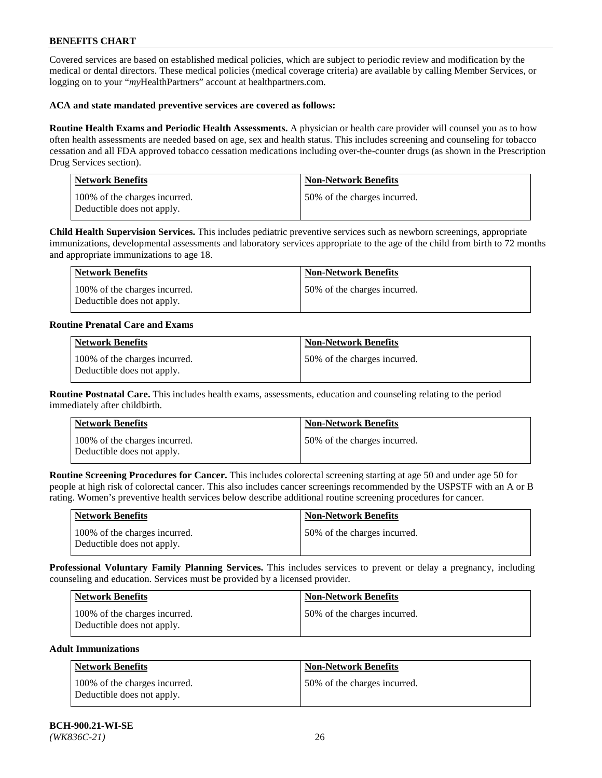Covered services are based on established medical policies, which are subject to periodic review and modification by the medical or dental directors. These medical policies (medical coverage criteria) are available by calling Member Services, or logging on to your "*my*HealthPartners" account at [healthpartners.com.](https://www.healthpartners.com/hp/index.html)

### **ACA and state mandated preventive services are covered as follows:**

**Routine Health Exams and Periodic Health Assessments.** A physician or health care provider will counsel you as to how often health assessments are needed based on age, sex and health status. This includes screening and counseling for tobacco cessation and all FDA approved tobacco cessation medications including over-the-counter drugs (as shown in the Prescription Drug Services section).

| <b>Network Benefits</b>                                     | <b>Non-Network Benefits</b>  |
|-------------------------------------------------------------|------------------------------|
| 100% of the charges incurred.<br>Deductible does not apply. | 50% of the charges incurred. |

**Child Health Supervision Services.** This includes pediatric preventive services such as newborn screenings, appropriate immunizations, developmental assessments and laboratory services appropriate to the age of the child from birth to 72 months and appropriate immunizations to age 18.

| Network Benefits                                            | <b>Non-Network Benefits</b>  |
|-------------------------------------------------------------|------------------------------|
| 100% of the charges incurred.<br>Deductible does not apply. | 50% of the charges incurred. |

#### **Routine Prenatal Care and Exams**

| <b>Network Benefits</b>                                     | <b>Non-Network Benefits</b>  |
|-------------------------------------------------------------|------------------------------|
| 100% of the charges incurred.<br>Deductible does not apply. | 50% of the charges incurred. |

**Routine Postnatal Care.** This includes health exams, assessments, education and counseling relating to the period immediately after childbirth.

| Network Benefits                                            | <b>Non-Network Benefits</b>  |
|-------------------------------------------------------------|------------------------------|
| 100% of the charges incurred.<br>Deductible does not apply. | 50% of the charges incurred. |

**Routine Screening Procedures for Cancer.** This includes colorectal screening starting at age 50 and under age 50 for people at high risk of colorectal cancer. This also includes cancer screenings recommended by the USPSTF with an A or B rating. Women's preventive health services below describe additional routine screening procedures for cancer.

| <b>Network Benefits</b>                                     | Non-Network Benefits         |
|-------------------------------------------------------------|------------------------------|
| 100% of the charges incurred.<br>Deductible does not apply. | 50% of the charges incurred. |

**Professional Voluntary Family Planning Services.** This includes services to prevent or delay a pregnancy, including counseling and education. Services must be provided by a licensed provider.

| <b>Network Benefits</b>                                     | <b>Non-Network Benefits</b>   |
|-------------------------------------------------------------|-------------------------------|
| 100% of the charges incurred.<br>Deductible does not apply. | 150% of the charges incurred. |

#### **Adult Immunizations**

| Network Benefits                                            | <b>Non-Network Benefits</b>  |
|-------------------------------------------------------------|------------------------------|
| 100% of the charges incurred.<br>Deductible does not apply. | 50% of the charges incurred. |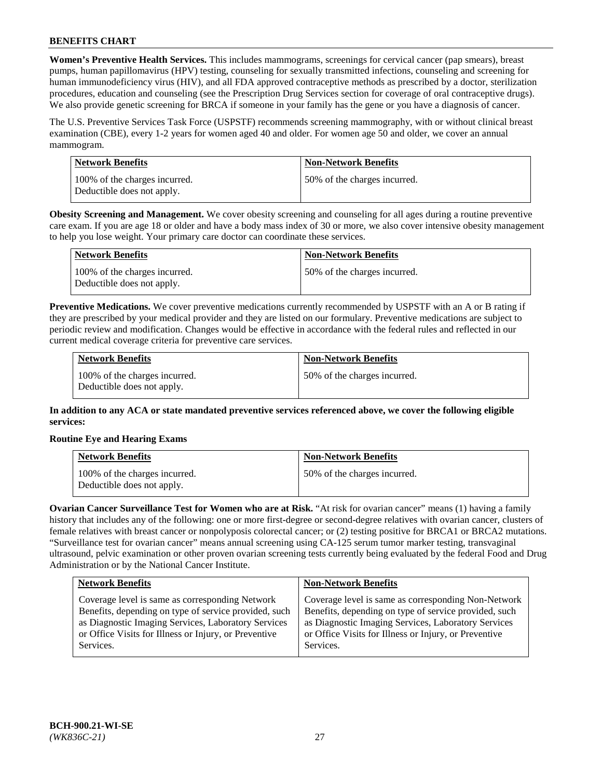**Women's Preventive Health Services.** This includes mammograms, screenings for cervical cancer (pap smears), breast pumps, human papillomavirus (HPV) testing, counseling for sexually transmitted infections, counseling and screening for human immunodeficiency virus (HIV), and all FDA approved contraceptive methods as prescribed by a doctor, sterilization procedures, education and counseling (see the Prescription Drug Services section for coverage of oral contraceptive drugs). We also provide genetic screening for BRCA if someone in your family has the gene or you have a diagnosis of cancer.

The U.S. Preventive Services Task Force (USPSTF) recommends screening mammography, with or without clinical breast examination (CBE), every 1-2 years for women aged 40 and older. For women age 50 and older, we cover an annual mammogram.

| Network Benefits                                            | <b>Non-Network Benefits</b>  |
|-------------------------------------------------------------|------------------------------|
| 100% of the charges incurred.<br>Deductible does not apply. | 50% of the charges incurred. |

**Obesity Screening and Management.** We cover obesity screening and counseling for all ages during a routine preventive care exam. If you are age 18 or older and have a body mass index of 30 or more, we also cover intensive obesity management to help you lose weight. Your primary care doctor can coordinate these services.

| Network Benefits                                            | <b>Non-Network Benefits</b>  |
|-------------------------------------------------------------|------------------------------|
| 100% of the charges incurred.<br>Deductible does not apply. | 50% of the charges incurred. |

**Preventive Medications.** We cover preventive medications currently recommended by USPSTF with an A or B rating if they are prescribed by your medical provider and they are listed on our formulary. Preventive medications are subject to periodic review and modification. Changes would be effective in accordance with the federal rules and reflected in our current medical coverage criteria for preventive care services.

| <b>Network Benefits</b>                                     | <b>Non-Network Benefits</b>  |
|-------------------------------------------------------------|------------------------------|
| 100% of the charges incurred.<br>Deductible does not apply. | 50% of the charges incurred. |

**In addition to any ACA or state mandated preventive services referenced above, we cover the following eligible services:**

## **Routine Eye and Hearing Exams**

| <b>Network Benefits</b>                                     | <b>Non-Network Benefits</b>  |
|-------------------------------------------------------------|------------------------------|
| 100% of the charges incurred.<br>Deductible does not apply. | 50% of the charges incurred. |

**Ovarian Cancer Surveillance Test for Women who are at Risk.** "At risk for ovarian cancer" means (1) having a family history that includes any of the following: one or more first-degree or second-degree relatives with ovarian cancer, clusters of female relatives with breast cancer or nonpolyposis colorectal cancer; or (2) testing positive for BRCA1 or BRCA2 mutations. "Surveillance test for ovarian cancer" means annual screening using CA-125 serum tumor marker testing, transvaginal ultrasound, pelvic examination or other proven ovarian screening tests currently being evaluated by the federal Food and Drug Administration or by the National Cancer Institute.

| <b>Network Benefits</b>                               | <b>Non-Network Benefits</b>                           |
|-------------------------------------------------------|-------------------------------------------------------|
| Coverage level is same as corresponding Network       | Coverage level is same as corresponding Non-Network   |
| Benefits, depending on type of service provided, such | Benefits, depending on type of service provided, such |
| as Diagnostic Imaging Services, Laboratory Services   | as Diagnostic Imaging Services, Laboratory Services   |
| or Office Visits for Illness or Injury, or Preventive | or Office Visits for Illness or Injury, or Preventive |
| Services.                                             | Services.                                             |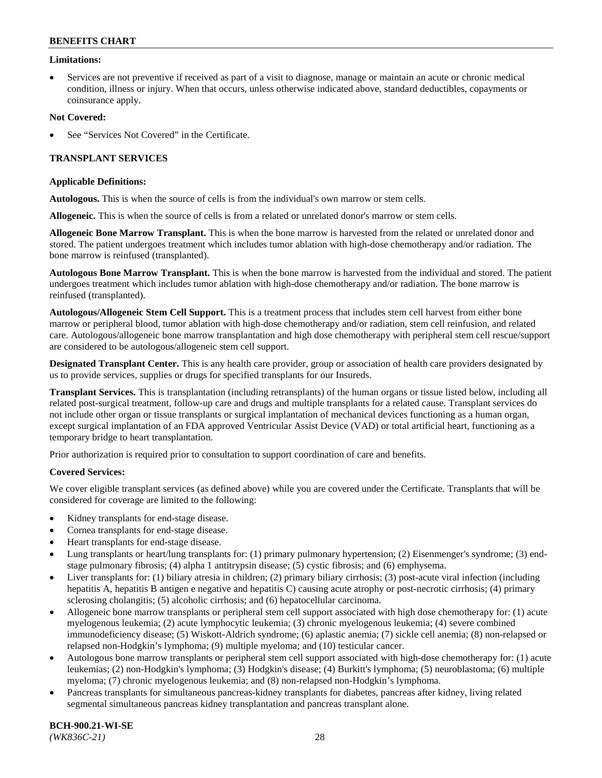### **Limitations:**

• Services are not preventive if received as part of a visit to diagnose, manage or maintain an acute or chronic medical condition, illness or injury. When that occurs, unless otherwise indicated above, standard deductibles, copayments or coinsurance apply.

#### **Not Covered:**

See "Services Not Covered" in the Certificate.

## **TRANSPLANT SERVICES**

#### **Applicable Definitions:**

**Autologous.** This is when the source of cells is from the individual's own marrow or stem cells.

**Allogeneic.** This is when the source of cells is from a related or unrelated donor's marrow or stem cells.

**Allogeneic Bone Marrow Transplant.** This is when the bone marrow is harvested from the related or unrelated donor and stored. The patient undergoes treatment which includes tumor ablation with high-dose chemotherapy and/or radiation. The bone marrow is reinfused (transplanted).

**Autologous Bone Marrow Transplant.** This is when the bone marrow is harvested from the individual and stored. The patient undergoes treatment which includes tumor ablation with high-dose chemotherapy and/or radiation. The bone marrow is reinfused (transplanted).

**Autologous/Allogeneic Stem Cell Support.** This is a treatment process that includes stem cell harvest from either bone marrow or peripheral blood, tumor ablation with high-dose chemotherapy and/or radiation, stem cell reinfusion, and related care. Autologous/allogeneic bone marrow transplantation and high dose chemotherapy with peripheral stem cell rescue/support are considered to be autologous/allogeneic stem cell support.

**Designated Transplant Center.** This is any health care provider, group or association of health care providers designated by us to provide services, supplies or drugs for specified transplants for our Insureds.

**Transplant Services.** This is transplantation (including retransplants) of the human organs or tissue listed below, including all related post-surgical treatment, follow-up care and drugs and multiple transplants for a related cause. Transplant services do not include other organ or tissue transplants or surgical implantation of mechanical devices functioning as a human organ, except surgical implantation of an FDA approved Ventricular Assist Device (VAD) or total artificial heart, functioning as a temporary bridge to heart transplantation.

Prior authorization is required prior to consultation to support coordination of care and benefits.

## **Covered Services:**

We cover eligible transplant services (as defined above) while you are covered under the Certificate. Transplants that will be considered for coverage are limited to the following:

- Kidney transplants for end-stage disease.
- Cornea transplants for end-stage disease.
- Heart transplants for end-stage disease.
- Lung transplants or heart/lung transplants for: (1) primary pulmonary hypertension; (2) Eisenmenger's syndrome; (3) endstage pulmonary fibrosis; (4) alpha 1 antitrypsin disease; (5) cystic fibrosis; and (6) emphysema.
- Liver transplants for: (1) biliary atresia in children; (2) primary biliary cirrhosis; (3) post-acute viral infection (including hepatitis A, hepatitis B antigen e negative and hepatitis C) causing acute atrophy or post-necrotic cirrhosis; (4) primary sclerosing cholangitis; (5) alcoholic cirrhosis; and (6) hepatocellular carcinoma.
- Allogeneic bone marrow transplants or peripheral stem cell support associated with high dose chemotherapy for: (1) acute myelogenous leukemia; (2) acute lymphocytic leukemia; (3) chronic myelogenous leukemia; (4) severe combined immunodeficiency disease; (5) Wiskott-Aldrich syndrome; (6) aplastic anemia; (7) sickle cell anemia; (8) non-relapsed or relapsed non-Hodgkin's lymphoma; (9) multiple myeloma; and (10) testicular cancer.
- Autologous bone marrow transplants or peripheral stem cell support associated with high-dose chemotherapy for: (1) acute leukemias; (2) non-Hodgkin's lymphoma; (3) Hodgkin's disease; (4) Burkitt's lymphoma; (5) neuroblastoma; (6) multiple myeloma; (7) chronic myelogenous leukemia; and (8) non-relapsed non-Hodgkin's lymphoma.
- Pancreas transplants for simultaneous pancreas-kidney transplants for diabetes, pancreas after kidney, living related segmental simultaneous pancreas kidney transplantation and pancreas transplant alone.